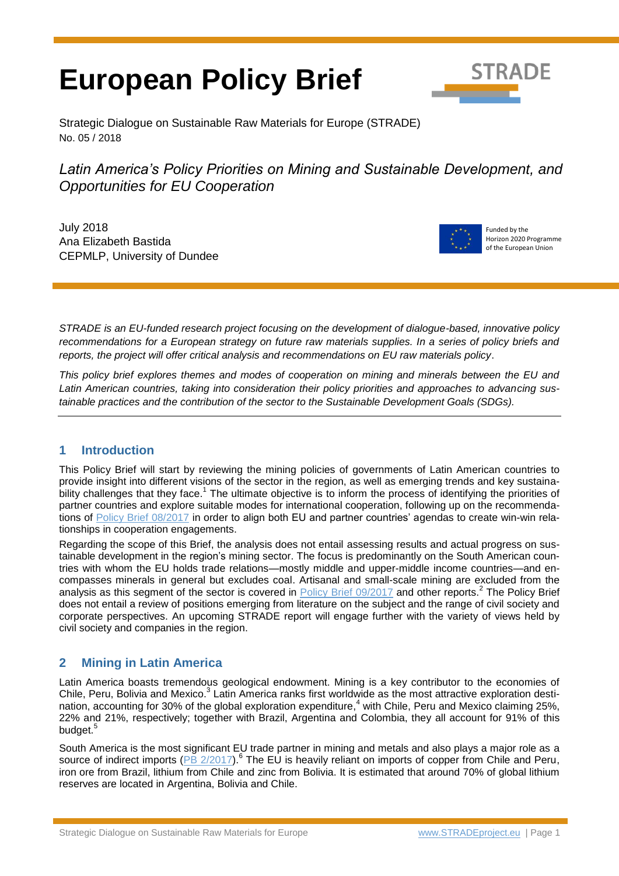# **European Policy Brief**



Strategic Dialogue on Sustainable Raw Materials for Europe (STRADE) No. 05 / 2018

*Latin America's Policy Priorities on Mining and Sustainable Development, and Opportunities for EU Cooperation*

July 2018 Ana Elizabeth Bastida CEPMLP, University of Dundee



Funded by the Horizon 2020 Programme of the European Union

*STRADE is an EU-funded research project focusing on the development of dialogue-based, innovative policy recommendations for a European strategy on future raw materials supplies. In a series of policy briefs and reports, the project will offer critical analysis and recommendations on EU raw materials policy*.

*This policy brief explores themes and modes of cooperation on mining and minerals between the EU and Latin American countries, taking into consideration their policy priorities and approaches to advancing sustainable practices and the contribution of the sector to the Sustainable Development Goals (SDGs).*

# **1 Introduction**

This Policy Brief will start by reviewing the mining policies of governments of Latin American countries to provide insight into different visions of the sector in the region, as well as emerging trends and key sustainability challenges that they face.<sup>1</sup> The ultimate objective is to inform the process of identifying the priorities of partner countries and explore suitable modes for international cooperation, following up on the recommendations of [Policy Brief 08/2017](http://stradeproject.eu/fileadmin/user_upload/pdf/WP3_3_1-Policy-Brief-D-3-7_08-2017_v03_final_20170925.pdf) in order to align both EU and partner countries' agendas to create win-win relationships in cooperation engagements.

Regarding the scope of this Brief, the analysis does not entail assessing results and actual progress on sustainable development in the region's mining sector. The focus is predominantly on the South American countries with whom the EU holds trade relations—mostly middle and upper-middle income countries—and encompasses minerals in general but excludes coal. Artisanal and small-scale mining are excluded from the analysis as this segment of the sector is covered in [Policy Brief](http://stradeproject.eu/fileadmin/user_upload/pdf/STRADE_PB09-2017_ASM_and_EU-cooperation.pdf) 09/2017 and other reports.<sup>2</sup> The Policy Brief does not entail a review of positions emerging from literature on the subject and the range of civil society and corporate perspectives. An upcoming STRADE report will engage further with the variety of views held by civil society and companies in the region.

# **2 Mining in Latin America**

Latin America boasts tremendous geological endowment. Mining is a key contributor to the economies of Chile, Peru, Bolivia and Mexico.<sup>3</sup> Latin America ranks first worldwide as the most attractive exploration destination, accounting for 30% of the global exploration expenditure,<sup>4</sup> with Chile, Peru and Mexico claiming 25%, 22% and 21%, respectively; together with Brazil, Argentina and Colombia, they all account for 91% of this budget.<sup>5</sup>

South America is the most significant EU trade partner in mining and metals and also plays a major role as a source of indirect imports [\(PB 2/2017\)](http://stradeproject.eu/fileadmin/user_upload/pdf/STRADEPolBrf_02-2017_RawMaterialFlows_Mar2017_FINAL.pdf).<sup>6</sup> The EU is heavily reliant on imports of copper from Chile and Peru, iron ore from Brazil, lithium from Chile and zinc from Bolivia. It is estimated that around 70% of global lithium reserves are located in Argentina, Bolivia and Chile.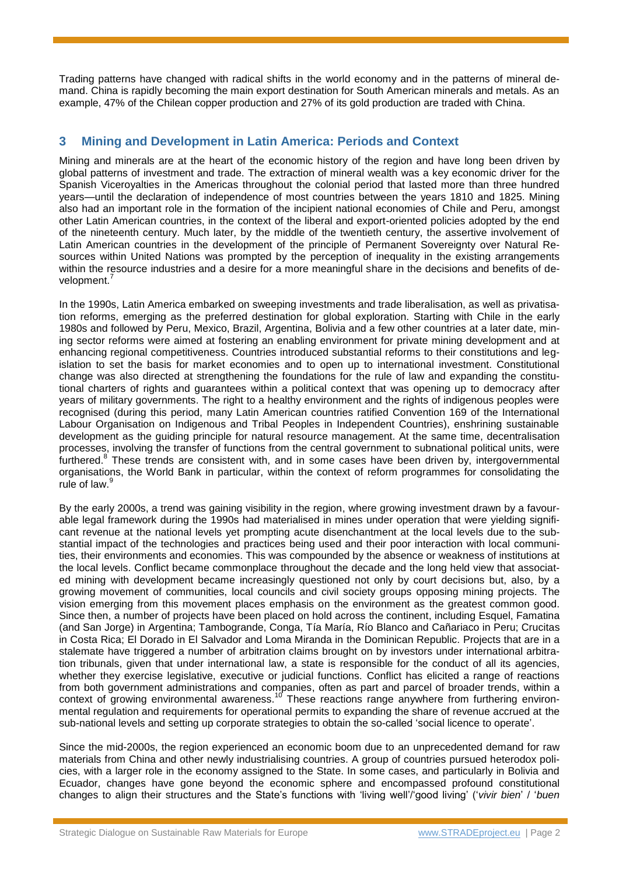Trading patterns have changed with radical shifts in the world economy and in the patterns of mineral demand. China is rapidly becoming the main export destination for South American minerals and metals. As an example, 47% of the Chilean copper production and 27% of its gold production are traded with China.

# **3 Mining and Development in Latin America: Periods and Context**

Mining and minerals are at the heart of the economic history of the region and have long been driven by global patterns of investment and trade. The extraction of mineral wealth was a key economic driver for the Spanish Viceroyalties in the Americas throughout the colonial period that lasted more than three hundred years—until the declaration of independence of most countries between the years 1810 and 1825. Mining also had an important role in the formation of the incipient national economies of Chile and Peru, amongst other Latin American countries, in the context of the liberal and export-oriented policies adopted by the end of the nineteenth century. Much later, by the middle of the twentieth century, the assertive involvement of Latin American countries in the development of the principle of Permanent Sovereignty over Natural Resources within United Nations was prompted by the perception of inequality in the existing arrangements within the resource industries and a desire for a more meaningful share in the decisions and benefits of development.<sup>7</sup>

In the 1990s, Latin America embarked on sweeping investments and trade liberalisation, as well as privatisation reforms, emerging as the preferred destination for global exploration. Starting with Chile in the early 1980s and followed by Peru, Mexico, Brazil, Argentina, Bolivia and a few other countries at a later date, mining sector reforms were aimed at fostering an enabling environment for private mining development and at enhancing regional competitiveness. Countries introduced substantial reforms to their constitutions and legislation to set the basis for market economies and to open up to international investment. Constitutional change was also directed at strengthening the foundations for the rule of law and expanding the constitutional charters of rights and guarantees within a political context that was opening up to democracy after years of military governments. The right to a healthy environment and the rights of indigenous peoples were recognised (during this period, many Latin American countries ratified Convention 169 of the International Labour Organisation on Indigenous and Tribal Peoples in Independent Countries), enshrining sustainable development as the guiding principle for natural resource management. At the same time, decentralisation processes, involving the transfer of functions from the central government to subnational political units, were furthered.<sup>8</sup> These trends are consistent with, and in some cases have been driven by, intergovernmental organisations, the World Bank in particular, within the context of reform programmes for consolidating the rule of law.<sup>9</sup>

By the early 2000s, a trend was gaining visibility in the region, where growing investment drawn by a favourable legal framework during the 1990s had materialised in mines under operation that were yielding significant revenue at the national levels yet prompting acute disenchantment at the local levels due to the substantial impact of the technologies and practices being used and their poor interaction with local communities, their environments and economies. This was compounded by the absence or weakness of institutions at the local levels. Conflict became commonplace throughout the decade and the long held view that associated mining with development became increasingly questioned not only by court decisions but, also, by a growing movement of communities, local councils and civil society groups opposing mining projects. The vision emerging from this movement places emphasis on the environment as the greatest common good. Since then, a number of projects have been placed on hold across the continent, including Esquel, Famatina (and San Jorge) in Argentina; Tambogrande, Conga, Tía María, Río Blanco and Cañariaco in Peru; Crucitas in Costa Rica; El Dorado in El Salvador and Loma Miranda in the Dominican Republic. Projects that are in a stalemate have triggered a number of arbitration claims brought on by investors under international arbitration tribunals, given that under international law, a state is responsible for the conduct of all its agencies, whether they exercise legislative, executive or judicial functions. Conflict has elicited a range of reactions from both government administrations and companies, often as part and parcel of broader trends, within a context of growing environmental awareness.<sup>10</sup> These reactions range anywhere from furthering environmental regulation and requirements for operational permits to expanding the share of revenue accrued at the sub-national levels and setting up corporate strategies to obtain the so-called 'social licence to operate'.

Since the mid-2000s, the region experienced an economic boom due to an unprecedented demand for raw materials from China and other newly industrialising countries. A group of countries pursued heterodox policies, with a larger role in the economy assigned to the State. In some cases, and particularly in Bolivia and Ecuador, changes have gone beyond the economic sphere and encompassed profound constitutional changes to align their structures and the State's functions with 'living well'/'good living' ('*vivir bien*' / '*buen*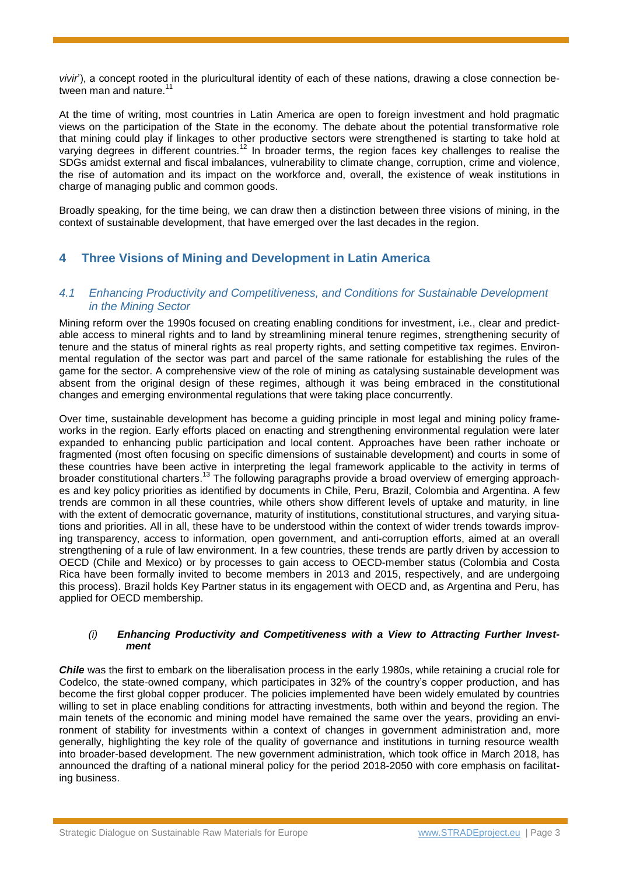*vivir*'), a concept rooted in the pluricultural identity of each of these nations, drawing a close connection between man and nature.<sup>11</sup>

At the time of writing, most countries in Latin America are open to foreign investment and hold pragmatic views on the participation of the State in the economy. The debate about the potential transformative role that mining could play if linkages to other productive sectors were strengthened is starting to take hold at varying degrees in different countries.<sup>12</sup> In broader terms, the region faces key challenges to realise the SDGs amidst external and fiscal imbalances, vulnerability to climate change, corruption, crime and violence, the rise of automation and its impact on the workforce and, overall, the existence of weak institutions in charge of managing public and common goods.

Broadly speaking, for the time being, we can draw then a distinction between three visions of mining, in the context of sustainable development, that have emerged over the last decades in the region.

# **4 Three Visions of Mining and Development in Latin America**

## *4.1 Enhancing Productivity and Competitiveness, and Conditions for Sustainable Development in the Mining Sector*

Mining reform over the 1990s focused on creating enabling conditions for investment, i.e., clear and predictable access to mineral rights and to land by streamlining mineral tenure regimes, strengthening security of tenure and the status of mineral rights as real property rights, and setting competitive tax regimes. Environmental regulation of the sector was part and parcel of the same rationale for establishing the rules of the game for the sector. A comprehensive view of the role of mining as catalysing sustainable development was absent from the original design of these regimes, although it was being embraced in the constitutional changes and emerging environmental regulations that were taking place concurrently.

Over time, sustainable development has become a guiding principle in most legal and mining policy frameworks in the region. Early efforts placed on enacting and strengthening environmental regulation were later expanded to enhancing public participation and local content. Approaches have been rather inchoate or fragmented (most often focusing on specific dimensions of sustainable development) and courts in some of these countries have been active in interpreting the legal framework applicable to the activity in terms of broader constitutional charters.<sup>13</sup> The following paragraphs provide a broad overview of emerging approaches and key policy priorities as identified by documents in Chile, Peru, Brazil, Colombia and Argentina. A few trends are common in all these countries, while others show different levels of uptake and maturity, in line with the extent of democratic governance, maturity of institutions, constitutional structures, and varying situations and priorities. All in all, these have to be understood within the context of wider trends towards improving transparency, access to information, open government, and anti-corruption efforts, aimed at an overall strengthening of a rule of law environment. In a few countries, these trends are partly driven by accession to OECD (Chile and Mexico) or by processes to gain access to OECD-member status (Colombia and Costa Rica have been formally invited to become members in 2013 and 2015, respectively, and are undergoing this process). Brazil holds Key Partner status in its engagement with OECD and, as Argentina and Peru, has applied for OECD membership.

#### *(i) Enhancing Productivity and Competitiveness with a View to Attracting Further Investment*

*Chile* was the first to embark on the liberalisation process in the early 1980s, while retaining a crucial role for Codelco, the state-owned company, which participates in 32% of the country's copper production, and has become the first global copper producer. The policies implemented have been widely emulated by countries willing to set in place enabling conditions for attracting investments, both within and beyond the region. The main tenets of the economic and mining model have remained the same over the years, providing an environment of stability for investments within a context of changes in government administration and, more generally, highlighting the key role of the quality of governance and institutions in turning resource wealth into broader-based development. The new government administration, which took office in March 2018, has announced the drafting of a national mineral policy for the period 2018-2050 with core emphasis on facilitating business.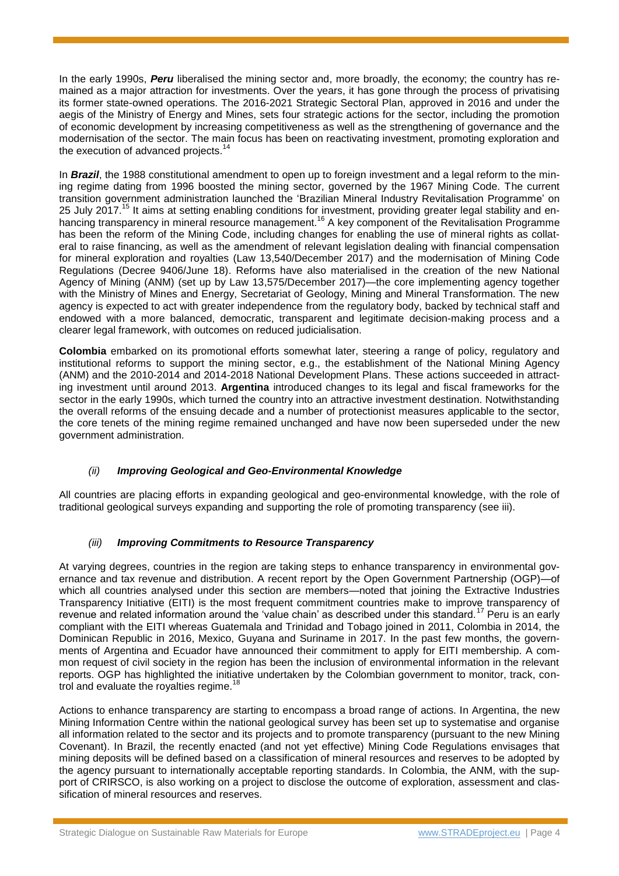In the early 1990s, *Peru* liberalised the mining sector and, more broadly, the economy; the country has remained as a major attraction for investments. Over the years, it has gone through the process of privatising its former state-owned operations. The 2016-2021 Strategic Sectoral Plan, approved in 2016 and under the aegis of the Ministry of Energy and Mines, sets four strategic actions for the sector, including the promotion of economic development by increasing competitiveness as well as the strengthening of governance and the modernisation of the sector. The main focus has been on reactivating investment, promoting exploration and the execution of advanced projects.<sup>14</sup>

In *Brazil*, the 1988 constitutional amendment to open up to foreign investment and a legal reform to the mining regime dating from 1996 boosted the mining sector, governed by the 1967 Mining Code. The current transition government administration launched the 'Brazilian Mineral Industry Revitalisation Programme' on 25 July 2017.<sup>15</sup> It aims at setting enabling conditions for investment, providing greater legal stability and enhancing transparency in mineral resource management.<sup>16</sup> A key component of the Revitalisation Programme has been the reform of the Mining Code, including changes for enabling the use of mineral rights as collateral to raise financing, as well as the amendment of relevant legislation dealing with financial compensation for mineral exploration and royalties (Law 13,540/December 2017) and the modernisation of Mining Code Regulations (Decree 9406/June 18). Reforms have also materialised in the creation of the new National Agency of Mining (ANM) (set up by Law 13,575/December 2017)—the core implementing agency together with the Ministry of Mines and Energy, Secretariat of Geology, Mining and Mineral Transformation. The new agency is expected to act with greater independence from the regulatory body, backed by technical staff and endowed with a more balanced, democratic, transparent and legitimate decision-making process and a clearer legal framework, with outcomes on reduced judicialisation.

**Colombia** embarked on its promotional efforts somewhat later, steering a range of policy, regulatory and institutional reforms to support the mining sector, e.g., the establishment of the National Mining Agency (ANM) and the 2010-2014 and 2014-2018 National Development Plans. These actions succeeded in attracting investment until around 2013. **Argentina** introduced changes to its legal and fiscal frameworks for the sector in the early 1990s, which turned the country into an attractive investment destination. Notwithstanding the overall reforms of the ensuing decade and a number of protectionist measures applicable to the sector, the core tenets of the mining regime remained unchanged and have now been superseded under the new government administration.

## *(ii) Improving Geological and Geo-Environmental Knowledge*

All countries are placing efforts in expanding geological and geo-environmental knowledge, with the role of traditional geological surveys expanding and supporting the role of promoting transparency (see iii).

## *(iii) Improving Commitments to Resource Transparency*

At varying degrees, countries in the region are taking steps to enhance transparency in environmental governance and tax revenue and distribution. A recent report by the Open Government Partnership (OGP)—of which all countries analysed under this section are members—noted that joining the Extractive Industries Transparency Initiative (EITI) is the most frequent commitment countries make to improve transparency of revenue and related information around the 'value chain' as described under this standard.<sup>17</sup> Peru is an early compliant with the EITI whereas Guatemala and Trinidad and Tobago joined in 2011, Colombia in 2014, the Dominican Republic in 2016, Mexico, Guyana and Suriname in 2017. In the past few months, the governments of Argentina and Ecuador have announced their commitment to apply for EITI membership. A common request of civil society in the region has been the inclusion of environmental information in the relevant reports. OGP has highlighted the initiative undertaken by the Colombian government to monitor, track, control and evaluate the royalties regime.<sup>18</sup>

Actions to enhance transparency are starting to encompass a broad range of actions. In Argentina, the new Mining Information Centre within the national geological survey has been set up to systematise and organise all information related to the sector and its projects and to promote transparency (pursuant to the new Mining Covenant). In Brazil, the recently enacted (and not yet effective) Mining Code Regulations envisages that mining deposits will be defined based on a classification of mineral resources and reserves to be adopted by the agency pursuant to internationally acceptable reporting standards. In Colombia, the ANM, with the support of CRIRSCO, is also working on a project to disclose the outcome of exploration, assessment and classification of mineral resources and reserves.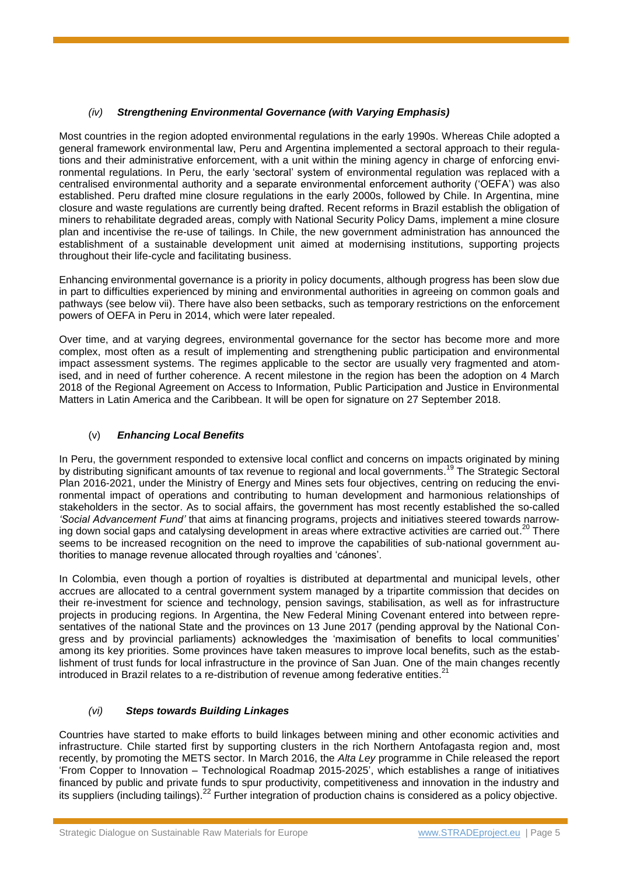# *(iv) Strengthening Environmental Governance (with Varying Emphasis)*

Most countries in the region adopted environmental regulations in the early 1990s. Whereas Chile adopted a general framework environmental law, Peru and Argentina implemented a sectoral approach to their regulations and their administrative enforcement, with a unit within the mining agency in charge of enforcing environmental regulations. In Peru, the early 'sectoral' system of environmental regulation was replaced with a centralised environmental authority and a separate environmental enforcement authority ('OEFA') was also established. Peru drafted mine closure regulations in the early 2000s, followed by Chile. In Argentina, mine closure and waste regulations are currently being drafted. Recent reforms in Brazil establish the obligation of miners to rehabilitate degraded areas, comply with National Security Policy Dams, implement a mine closure plan and incentivise the re-use of tailings. In Chile, the new government administration has announced the establishment of a sustainable development unit aimed at modernising institutions, supporting projects throughout their life-cycle and facilitating business.

Enhancing environmental governance is a priority in policy documents, although progress has been slow due in part to difficulties experienced by mining and environmental authorities in agreeing on common goals and pathways (see below vii). There have also been setbacks, such as temporary restrictions on the enforcement powers of OEFA in Peru in 2014, which were later repealed.

Over time, and at varying degrees, environmental governance for the sector has become more and more complex, most often as a result of implementing and strengthening public participation and environmental impact assessment systems. The regimes applicable to the sector are usually very fragmented and atomised, and in need of further coherence. A recent milestone in the region has been the adoption on 4 March 2018 of the Regional Agreement on Access to Information, Public Participation and Justice in Environmental Matters in Latin America and the Caribbean. It will be open for signature on 27 September 2018.

# (v) *Enhancing Local Benefits*

In Peru, the government responded to extensive local conflict and concerns on impacts originated by mining by distributing significant amounts of tax revenue to regional and local governments.<sup>19</sup> The Strategic Sectoral Plan 2016-2021, under the Ministry of Energy and Mines sets four objectives, centring on reducing the environmental impact of operations and contributing to human development and harmonious relationships of stakeholders in the sector. As to social affairs, the government has most recently established the so-called *'Social Advancement Fund'* that aims at financing programs, projects and initiatives steered towards narrowing down social gaps and catalysing development in areas where extractive activities are carried out.<sup>20</sup> There seems to be increased recognition on the need to improve the capabilities of sub-national government authorities to manage revenue allocated through royalties and 'cánones'.

In Colombia, even though a portion of royalties is distributed at departmental and municipal levels, other accrues are allocated to a central government system managed by a tripartite commission that decides on their re-investment for science and technology, pension savings, stabilisation, as well as for infrastructure projects in producing regions. In Argentina, the New Federal Mining Covenant entered into between representatives of the national State and the provinces on 13 June 2017 (pending approval by the National Congress and by provincial parliaments) acknowledges the 'maximisation of benefits to local communities' among its key priorities. Some provinces have taken measures to improve local benefits, such as the establishment of trust funds for local infrastructure in the province of San Juan. One of the main changes recently introduced in Brazil relates to a re-distribution of revenue among federative entities.<sup>21</sup>

## *(vi) Steps towards Building Linkages*

Countries have started to make efforts to build linkages between mining and other economic activities and infrastructure. Chile started first by supporting clusters in the rich Northern Antofagasta region and, most recently, by promoting the METS sector. In March 2016, the *Alta Ley* programme in Chile released the report 'From Copper to Innovation – Technological Roadmap 2015-2025', which establishes a range of initiatives financed by public and private funds to spur productivity, competitiveness and innovation in the industry and its suppliers (including tailings).<sup>22</sup> Further integration of production chains is considered as a policy objective.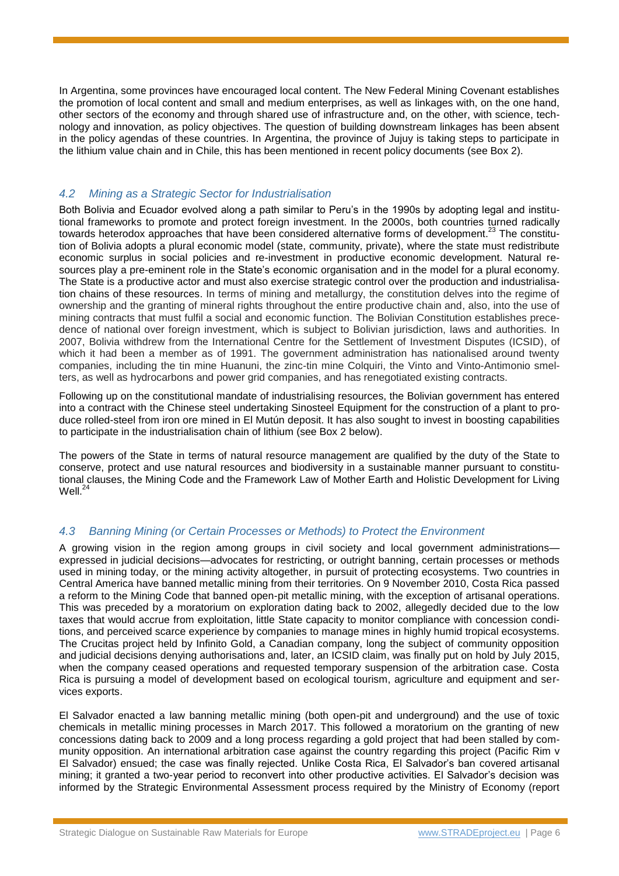In Argentina, some provinces have encouraged local content. The New Federal Mining Covenant establishes the promotion of local content and small and medium enterprises, as well as linkages with, on the one hand, other sectors of the economy and through shared use of infrastructure and, on the other, with science, technology and innovation, as policy objectives. The question of building downstream linkages has been absent in the policy agendas of these countries. In Argentina, the province of Jujuy is taking steps to participate in the lithium value chain and in Chile, this has been mentioned in recent policy documents (see Box 2).

# *4.2 Mining as a Strategic Sector for Industrialisation*

Both Bolivia and Ecuador evolved along a path similar to Peru's in the 1990s by adopting legal and institutional frameworks to promote and protect foreign investment. In the 2000s, both countries turned radically towards heterodox approaches that have been considered alternative forms of development.<sup>23</sup> The constitution of Bolivia adopts a plural economic model (state, community, private), where the state must redistribute economic surplus in social policies and re-investment in productive economic development. Natural resources play a pre-eminent role in the State's economic organisation and in the model for a plural economy. The State is a productive actor and must also exercise strategic control over the production and industrialisation chains of these resources. In terms of mining and metallurgy, the constitution delves into the regime of ownership and the granting of mineral rights throughout the entire productive chain and, also, into the use of mining contracts that must fulfil a social and economic function. The Bolivian Constitution establishes precedence of national over foreign investment, which is subject to Bolivian jurisdiction, laws and authorities. In 2007, Bolivia withdrew from the International Centre for the Settlement of Investment Disputes (ICSID), of which it had been a member as of 1991. The government administration has nationalised around twenty companies, including the tin mine Huanuni, the zinc-tin mine Colquiri, the Vinto and Vinto-Antimonio smelters, as well as hydrocarbons and power grid companies, and has renegotiated existing contracts.

Following up on the constitutional mandate of industrialising resources, the Bolivian government has entered into a contract with the Chinese steel undertaking Sinosteel Equipment for the construction of a plant to produce rolled-steel from iron ore mined in El Mutún deposit. It has also sought to invest in boosting capabilities to participate in the industrialisation chain of lithium (see Box 2 below).

The powers of the State in terms of natural resource management are qualified by the duty of the State to conserve, protect and use natural resources and biodiversity in a sustainable manner pursuant to constitutional clauses, the Mining Code and the Framework Law of Mother Earth and Holistic Development for Living Well. $^{24}$ 

# *4.3 Banning Mining (or Certain Processes or Methods) to Protect the Environment*

A growing vision in the region among groups in civil society and local government administrations expressed in judicial decisions—advocates for restricting, or outright banning, certain processes or methods used in mining today, or the mining activity altogether, in pursuit of protecting ecosystems. Two countries in Central America have banned metallic mining from their territories. On 9 November 2010, Costa Rica passed a reform to the Mining Code that banned open-pit metallic mining, with the exception of artisanal operations. This was preceded by a moratorium on exploration dating back to 2002, allegedly decided due to the low taxes that would accrue from exploitation, little State capacity to monitor compliance with concession conditions, and perceived scarce experience by companies to manage mines in highly humid tropical ecosystems. The Crucitas project held by Infinito Gold, a Canadian company, long the subject of community opposition and judicial decisions denying authorisations and, later, an ICSID claim, was finally put on hold by July 2015, when the company ceased operations and requested temporary suspension of the arbitration case. Costa Rica is pursuing a model of development based on ecological tourism, agriculture and equipment and services exports.

El Salvador enacted a law banning metallic mining (both open-pit and underground) and the use of toxic chemicals in metallic mining processes in March 2017. This followed a moratorium on the granting of new concessions dating back to 2009 and a long process regarding a gold project that had been stalled by community opposition. An international arbitration case against the country regarding this project (Pacific Rim v El Salvador) ensued; the case was finally rejected. Unlike Costa Rica, El Salvador's ban covered artisanal mining; it granted a two-year period to reconvert into other productive activities. El Salvador's decision was informed by the Strategic Environmental Assessment process required by the Ministry of Economy (report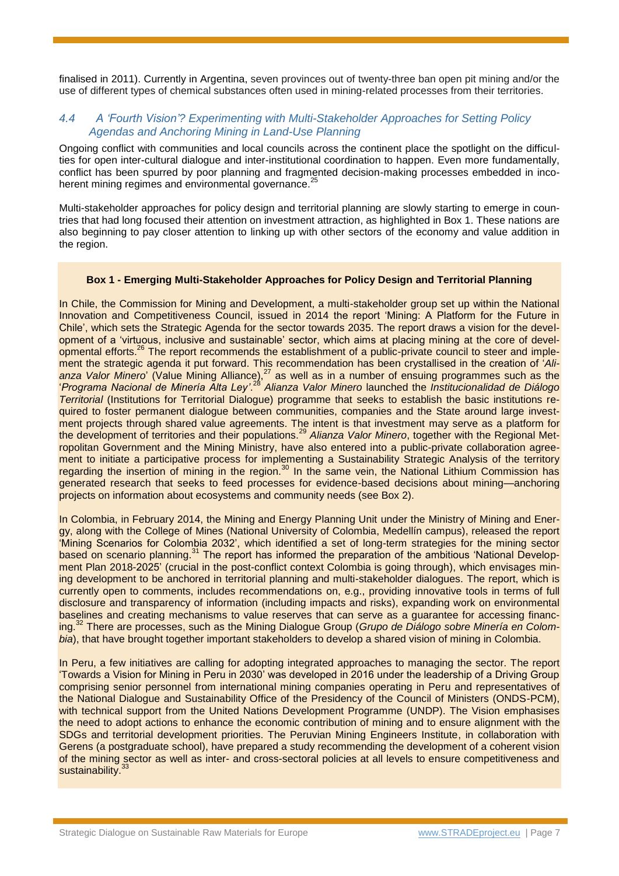finalised in 2011). Currently in Argentina, seven provinces out of twenty-three ban open pit mining and/or the use of different types of chemical substances often used in mining-related processes from their territories.

# *4.4 A 'Fourth Vision'? Experimenting with Multi-Stakeholder Approaches for Setting Policy Agendas and Anchoring Mining in Land-Use Planning*

Ongoing conflict with communities and local councils across the continent place the spotlight on the difficulties for open inter-cultural dialogue and inter-institutional coordination to happen. Even more fundamentally, conflict has been spurred by poor planning and fragmented decision-making processes embedded in incoherent mining regimes and environmental governance.<sup>25</sup>

Multi-stakeholder approaches for policy design and territorial planning are slowly starting to emerge in countries that had long focused their attention on investment attraction, as highlighted in Box 1. These nations are also beginning to pay closer attention to linking up with other sectors of the economy and value addition in the region.

#### **Box 1 - Emerging Multi-Stakeholder Approaches for Policy Design and Territorial Planning**

In Chile, the Commission for Mining and Development, a multi-stakeholder group set up within the National Innovation and Competitiveness Council, issued in 2014 the report 'Mining: A Platform for the Future in Chile', which sets the Strategic Agenda for the sector towards 2035. The report draws a vision for the development of a 'virtuous, inclusive and sustainable' sector, which aims at placing mining at the core of developmental efforts.<sup>26</sup> The report recommends the establishment of a public-private council to steer and implement the strategic agenda it put forward. This recommendation has been crystallised in the creation of '*Ali*anza Valor Minero' (Value Mining Alliance),<sup>27</sup> as well as in a number of ensuing programmes such as the '*Programa Nacional de Minería Alta Ley'*.<sup>28</sup> Alianza Valor Minero launched the *Institucionalidad de Diálogo Territorial* (Institutions for Territorial Dialogue) programme that seeks to establish the basic institutions required to foster permanent dialogue between communities, companies and the State around large investment projects through shared value agreements. The intent is that investment may serve as a platform for the development of territories and their populations.<sup>29</sup> *Alianza Valor Minero*, together with the Regional Metropolitan Government and the Mining Ministry, have also entered into a public-private collaboration agreement to initiate a participative process for implementing a Sustainability Strategic Analysis of the territory regarding the insertion of mining in the region.<sup>30</sup> In the same vein, the National Lithium Commission has generated research that seeks to feed processes for evidence-based decisions about mining—anchoring projects on information about ecosystems and community needs (see Box 2).

In Colombia, in February 2014, the Mining and Energy Planning Unit under the Ministry of Mining and Energy, along with the College of Mines (National University of Colombia, Medellín campus), released the report 'Mining Scenarios for Colombia 2032', which identified a set of long-term strategies for the mining sector based on scenario planning.<sup>31</sup> The report has informed the preparation of the ambitious 'National Development Plan 2018-2025' (crucial in the post-conflict context Colombia is going through), which envisages mining development to be anchored in territorial planning and multi-stakeholder dialogues. The report, which is currently open to comments, includes recommendations on, e.g., providing innovative tools in terms of full disclosure and transparency of information (including impacts and risks), expanding work on environmental baselines and creating mechanisms to value reserves that can serve as a guarantee for accessing financing.<sup>32</sup> There are processes, such as the Mining Dialogue Group (*Grupo de Diálogo sobre Minería en Colombia*), that have brought together important stakeholders to develop a shared vision of mining in Colombia.

In Peru, a few initiatives are calling for adopting integrated approaches to managing the sector. The report 'Towards a Vision for Mining in Peru in 2030' was developed in 2016 under the leadership of a Driving Group comprising senior personnel from international mining companies operating in Peru and representatives of the National Dialogue and Sustainability Office of the Presidency of the Council of Ministers (ONDS-PCM), with technical support from the United Nations Development Programme (UNDP). The Vision emphasises the need to adopt actions to enhance the economic contribution of mining and to ensure alignment with the SDGs and territorial development priorities. The Peruvian Mining Engineers Institute, in collaboration with Gerens (a postgraduate school), have prepared a study recommending the development of a coherent vision of the mining sector as well as inter- and cross-sectoral policies at all levels to ensure competitiveness and sustainability.<sup>33</sup>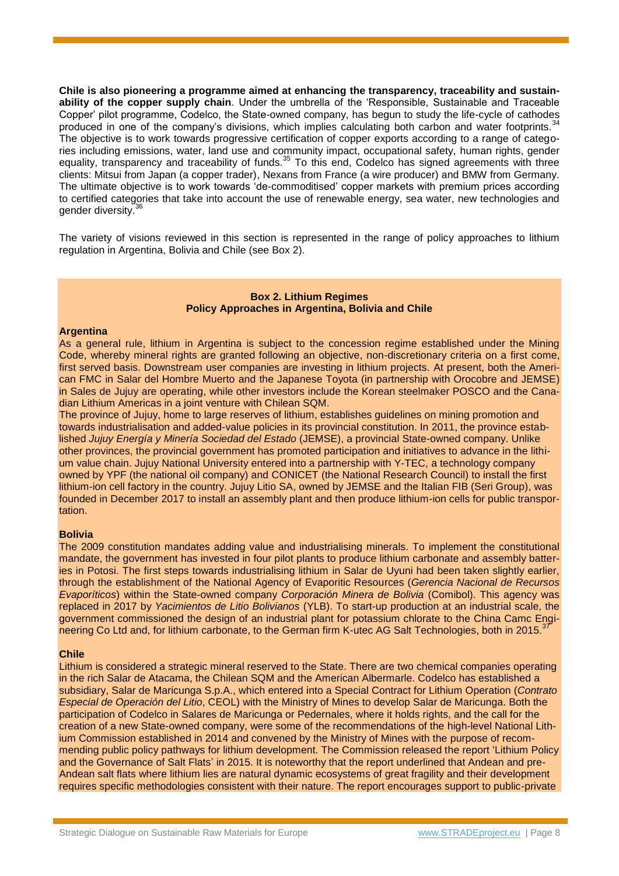**Chile is also pioneering a programme aimed at enhancing the transparency, traceability and sustainability of the copper supply chain**. Under the umbrella of the 'Responsible, Sustainable and Traceable Copper' pilot programme, Codelco, the State-owned company, has begun to study the life-cycle of cathodes produced in one of the company's divisions, which implies calculating both carbon and water footprints. The objective is to work towards progressive certification of copper exports according to a range of categories including emissions, water, land use and community impact, occupational safety, human rights, gender equality, transparency and traceability of funds.<sup>35</sup> To this end, Codelco has signed agreements with three clients: Mitsui from Japan (a copper trader), Nexans from France (a wire producer) and BMW from Germany. The ultimate objective is to work towards 'de-commoditised' copper markets with premium prices according to certified categories that take into account the use of renewable energy, sea water, new technologies and gender diversity.<sup>36</sup>

The variety of visions reviewed in this section is represented in the range of policy approaches to lithium regulation in Argentina, Bolivia and Chile (see Box 2).

#### **Box 2. Lithium Regimes Policy Approaches in Argentina, Bolivia and Chile**

#### **Argentina**

As a general rule, lithium in Argentina is subject to the concession regime established under the Mining Code, whereby mineral rights are granted following an objective, non-discretionary criteria on a first come, first served basis. Downstream user companies are investing in lithium projects. At present, both the American FMC in Salar del Hombre Muerto and the Japanese Toyota (in partnership with Orocobre and JEMSE) in Sales de Jujuy are operating, while other investors include the Korean steelmaker POSCO and the Canadian Lithium Americas in a joint venture with Chilean SQM.

The province of Jujuy, home to large reserves of lithium, establishes guidelines on mining promotion and towards industrialisation and added-value policies in its provincial constitution. In 2011, the province established *Jujuy Energía y Minería Sociedad del Estado* (JEMSE), a provincial State-owned company. Unlike other provinces, the provincial government has promoted participation and initiatives to advance in the lithium value chain. Jujuy National University entered into a partnership with Y-TEC, a technology company owned by YPF (the national oil company) and CONICET (the National Research Council) to install the first lithium-ion cell factory in the country. Jujuy Litio SA, owned by JEMSE and the Italian FIB (Seri Group), was founded in December 2017 to install an assembly plant and then produce lithium-ion cells for public transportation.

#### **Bolivia**

The 2009 constitution mandates adding value and industrialising minerals. To implement the constitutional mandate, the government has invested in four pilot plants to produce lithium carbonate and assembly batteries in Potosi. The first steps towards industrialising lithium in Salar de Uyuni had been taken slightly earlier, through the establishment of the National Agency of Evaporitic Resources (*Gerencia Nacional de Recursos Evaporíticos*) within the State-owned company *Corporación Minera de Bolivia* (Comibol). This agency was replaced in 2017 by *Yacimientos de Litio Bolivianos* (YLB). To start-up production at an industrial scale, the government commissioned the design of an industrial plant for potassium chlorate to the China Camc Engineering Co Ltd and, for lithium carbonate, to the German firm K-utec AG Salt Technologies, both in 2015.

## **Chile**

Lithium is considered a strategic mineral reserved to the State. There are two chemical companies operating in the rich Salar de Atacama, the Chilean SQM and the American Albermarle. Codelco has established a subsidiary, Salar de Maricunga S.p.A., which entered into a Special Contract for Lithium Operation (*Contrato Especial de Operación del Litio*, CEOL) with the Ministry of Mines to develop Salar de Maricunga. Both the participation of Codelco in Salares de Maricunga or Pedernales, where it holds rights, and the call for the creation of a new State-owned company, were some of the recommendations of the high-level National Lithium Commission established in 2014 and convened by the Ministry of Mines with the purpose of recommending public policy pathways for lithium development. The Commission released the report 'Lithium Policy and the Governance of Salt Flats' in 2015. It is noteworthy that the report underlined that Andean and pre-Andean salt flats where lithium lies are natural dynamic ecosystems of great fragility and their development requires specific methodologies consistent with their nature. The report encourages support to public-private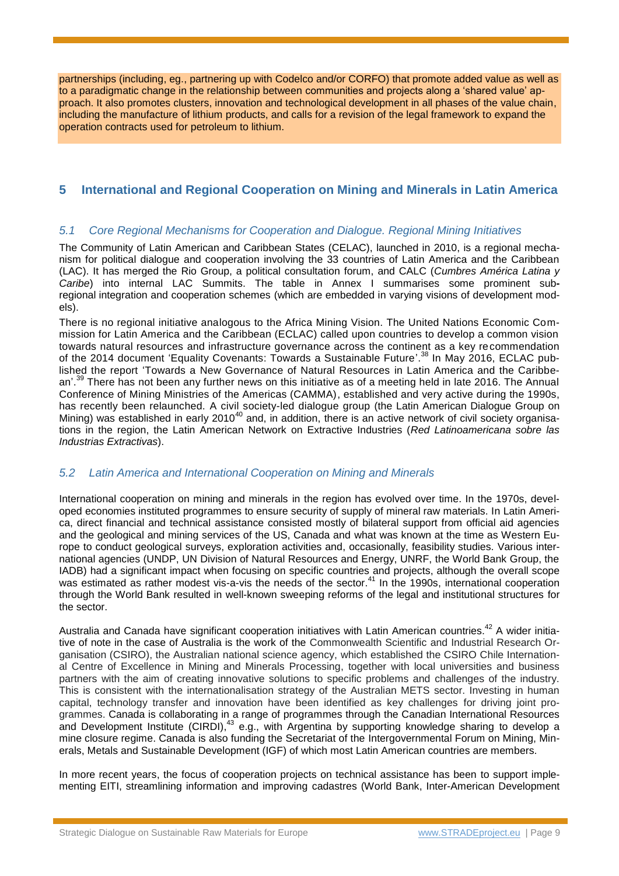partnerships (including, eg., partnering up with Codelco and/or CORFO) that promote added value as well as to a paradigmatic change in the relationship between communities and projects along a 'shared value' approach. It also promotes clusters, innovation and technological development in all phases of the value chain, including the manufacture of lithium products, and calls for a revision of the legal framework to expand the operation contracts used for petroleum to lithium.

# **5 International and Regional Cooperation on Mining and Minerals in Latin America**

# *5.1 Core Regional Mechanisms for Cooperation and Dialogue. Regional Mining Initiatives*

The Community of Latin American and Caribbean States (CELAC), launched in 2010, is a regional mechanism for political dialogue and cooperation involving the 33 countries of Latin America and the Caribbean (LAC). It has merged the Rio Group, a political consultation forum, and CALC (*Cumbres América Latina y Caribe*) into internal LAC Summits. The table in Annex I summarises some prominent subregional integration and cooperation schemes (which are embedded in varying visions of development models).

There is no regional initiative analogous to the Africa Mining Vision. The United Nations Economic Commission for Latin America and the Caribbean (ECLAC) called upon countries to develop a common vision towards natural resources and infrastructure governance across the continent as a key recommendation of the 2014 document 'Equality Covenants: Towards a Sustainable Future'.<sup>38</sup> In May 2016, ECLAC published the report 'Towards a New Governance of Natural Resources in Latin America and the Caribbean'.<sup>39</sup> There has not been any further news on this initiative as of a meeting held in late 2016. The Annual Conference of Mining Ministries of the Americas (CAMMA), established and very active during the 1990s, has recently been relaunched. A civil society-led dialogue group (the Latin American Dialogue Group on Mining) was established in early 2010<sup>40</sup> and, in addition, there is an active network of civil society organisations in the region, the Latin American Network on Extractive Industries (*Red Latinoamericana sobre las Industrias Extractivas*).

## *5.2 Latin America and International Cooperation on Mining and Minerals*

International cooperation on mining and minerals in the region has evolved over time. In the 1970s, developed economies instituted programmes to ensure security of supply of mineral raw materials. In Latin America, direct financial and technical assistance consisted mostly of bilateral support from official aid agencies and the geological and mining services of the US, Canada and what was known at the time as Western Europe to conduct geological surveys, exploration activities and, occasionally, feasibility studies. Various international agencies (UNDP, UN Division of Natural Resources and Energy, UNRF, the World Bank Group, the IADB) had a significant impact when focusing on specific countries and projects, although the overall scope was estimated as rather modest vis-a-vis the needs of the sector.<sup>41</sup> In the 1990s, international cooperation through the World Bank resulted in well-known sweeping reforms of the legal and institutional structures for the sector.

Australia and Canada have significant cooperation initiatives with Latin American countries.<sup>42</sup> A wider initiative of note in the case of Australia is the work of the Commonwealth Scientific and Industrial Research Organisation (CSIRO), the Australian national science agency, which established the CSIRO Chile International Centre of Excellence in Mining and Minerals Processing, together with local universities and business partners with the aim of creating innovative solutions to specific problems and challenges of the industry. This is consistent with the internationalisation strategy of the Australian METS sector. Investing in human capital, technology transfer and innovation have been identified as key challenges for driving joint programmes. Canada is collaborating in a range of programmes through the Canadian International Resources and Development Institute (CIRDI),<sup>43</sup> e.g., with Argentina by supporting knowledge sharing to develop a mine closure regime. Canada is also funding the Secretariat of the Intergovernmental Forum on Mining, Minerals, Metals and Sustainable Development (IGF) of which most Latin American countries are members.

In more recent years, the focus of cooperation projects on technical assistance has been to support implementing EITI, streamlining information and improving cadastres (World Bank, Inter-American Development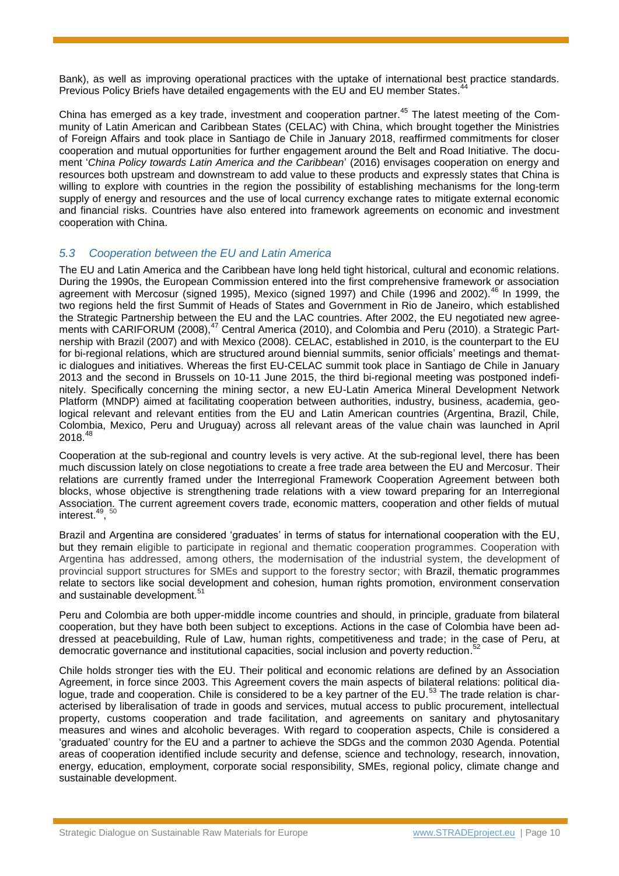Bank), as well as improving operational practices with the uptake of international best practice standards. Previous Policy Briefs have detailed engagements with the EU and EU member States.<sup>44</sup>

China has emerged as a key trade, investment and cooperation partner.<sup>45</sup> The latest meeting of the Community of Latin American and Caribbean States (CELAC) with China, which brought together the Ministries of Foreign Affairs and took place in Santiago de Chile in January 2018, reaffirmed commitments for closer cooperation and mutual opportunities for further engagement around the Belt and Road Initiative. The document '*China Policy towards Latin America and the Caribbean*' (2016) envisages cooperation on energy and resources both upstream and downstream to add value to these products and expressly states that China is willing to explore with countries in the region the possibility of establishing mechanisms for the long-term supply of energy and resources and the use of local currency exchange rates to mitigate external economic and financial risks. Countries have also entered into framework agreements on economic and investment cooperation with China.

# *5.3 Cooperation between the EU and Latin America*

The EU and Latin America and the Caribbean have long held tight historical, cultural and economic relations. During the 1990s, the European Commission entered into the first comprehensive framework or association agreement with Mercosur (signed 1995), Mexico (signed 1997) and Chile (1996 and 2002).<sup>46</sup> In 1999, the two regions held the first Summit of Heads of States and Government in Rio de Janeiro, which established the Strategic Partnership between the EU and the LAC countries. After 2002, the EU negotiated new agreements with CARIFORUM (2008),<sup>47</sup> Central America (2010), and Colombia and Peru (2010), a Strategic Partnership with Brazil (2007) and with Mexico (2008). CELAC, established in 2010, is the counterpart to the EU for bi-regional relations, which are structured around biennial summits, senior officials' meetings and thematic dialogues and initiatives. Whereas the first EU-CELAC summit took place in Santiago de Chile in January 2013 and the second in Brussels on 10-11 June 2015, the third bi-regional meeting was postponed indefinitely. Specifically concerning the mining sector, a new EU-Latin America Mineral Development Network Platform (MNDP) aimed at facilitating cooperation between authorities, industry, business, academia, geological relevant and relevant entities from the EU and Latin American countries (Argentina, Brazil, Chile, Colombia, Mexico, Peru and Uruguay) across all relevant areas of the value chain was launched in April 2018.<sup>48</sup>

Cooperation at the sub-regional and country levels is very active. At the sub-regional level, there has been much discussion lately on close negotiations to create a free trade area between the EU and Mercosur. Their relations are currently framed under the Interregional Framework Cooperation Agreement between both blocks, whose objective is strengthening trade relations with a view toward preparing for an Interregional Association. The current agreement covers trade, economic matters, cooperation and other fields of mutual interest.<sup>49</sup>, <sup>50</sup>

Brazil and Argentina are considered 'graduates' in terms of status for international cooperation with the EU, but they remain eligible to participate in regional and thematic cooperation programmes. Cooperation with Argentina has addressed, among others, the modernisation of the industrial system, the development of provincial support structures for SMEs and support to the forestry sector; with Brazil, thematic programmes relate to sectors like social development and cohesion, human rights promotion, environment conservation and sustainable development.<sup>51</sup>

Peru and Colombia are both upper-middle income countries and should, in principle, graduate from bilateral cooperation, but they have both been subject to exceptions. Actions in the case of Colombia have been addressed at peacebuilding, Rule of Law, human rights, competitiveness and trade; in the case of Peru, at democratic governance and institutional capacities, social inclusion and poverty reduction.<sup>52</sup>

Chile holds stronger ties with the EU. Their political and economic relations are defined by an Association Agreement, in force since 2003. This Agreement covers the main aspects of bilateral relations: political dialogue, trade and cooperation. Chile is considered to be a key partner of the EU.<sup>53</sup> The trade relation is characterised by liberalisation of trade in goods and services, mutual access to public procurement, intellectual property, customs cooperation and trade facilitation, and agreements on sanitary and phytosanitary measures and wines and alcoholic beverages. With regard to cooperation aspects, Chile is considered a 'graduated' country for the EU and a partner to achieve the SDGs and the common 2030 Agenda. Potential areas of cooperation identified include security and defense, science and technology, research, innovation, energy, education, employment, corporate social responsibility, SMEs, regional policy, climate change and sustainable development.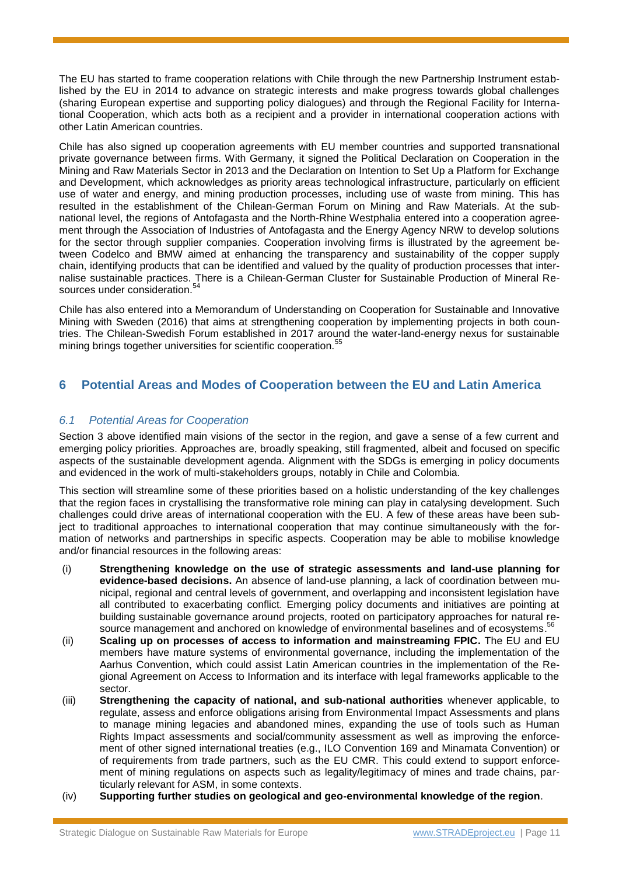The EU has started to frame cooperation relations with Chile through the new Partnership Instrument established by the EU in 2014 to advance on strategic interests and make progress towards global challenges (sharing European expertise and supporting policy dialogues) and through the Regional Facility for International Cooperation, which acts both as a recipient and a provider in international cooperation actions with other Latin American countries.

Chile has also signed up cooperation agreements with EU member countries and supported transnational private governance between firms. With Germany, it signed the Political Declaration on Cooperation in the Mining and Raw Materials Sector in 2013 and the Declaration on Intention to Set Up a Platform for Exchange and Development, which acknowledges as priority areas technological infrastructure, particularly on efficient use of water and energy, and mining production processes, including use of waste from mining. This has resulted in the establishment of the Chilean-German Forum on Mining and Raw Materials. At the subnational level, the regions of Antofagasta and the North-Rhine Westphalia entered into a cooperation agreement through the Association of Industries of Antofagasta and the Energy Agency NRW to develop solutions for the sector through supplier companies. Cooperation involving firms is illustrated by the agreement between Codelco and BMW aimed at enhancing the transparency and sustainability of the copper supply chain, identifying products that can be identified and valued by the quality of production processes that internalise sustainable practices. There is a Chilean-German Cluster for Sustainable Production of Mineral Resources under consideration.<sup>54</sup>

Chile has also entered into a Memorandum of Understanding on Cooperation for Sustainable and Innovative Mining with Sweden (2016) that aims at strengthening cooperation by implementing projects in both countries. The Chilean-Swedish Forum established in 2017 around the water-land-energy nexus for sustainable mining brings together universities for scientific cooperation.<sup>55</sup>

# **6 Potential Areas and Modes of Cooperation between the EU and Latin America**

# *6.1 Potential Areas for Cooperation*

Section 3 above identified main visions of the sector in the region, and gave a sense of a few current and emerging policy priorities. Approaches are, broadly speaking, still fragmented, albeit and focused on specific aspects of the sustainable development agenda. Alignment with the SDGs is emerging in policy documents and evidenced in the work of multi-stakeholders groups, notably in Chile and Colombia.

This section will streamline some of these priorities based on a holistic understanding of the key challenges that the region faces in crystallising the transformative role mining can play in catalysing development. Such challenges could drive areas of international cooperation with the EU. A few of these areas have been subject to traditional approaches to international cooperation that may continue simultaneously with the formation of networks and partnerships in specific aspects. Cooperation may be able to mobilise knowledge and/or financial resources in the following areas:

- (i) **Strengthening knowledge on the use of strategic assessments and land-use planning for evidence-based decisions.** An absence of land-use planning, a lack of coordination between municipal, regional and central levels of government, and overlapping and inconsistent legislation have all contributed to exacerbating conflict. Emerging policy documents and initiatives are pointing at building sustainable governance around projects, rooted on participatory approaches for natural resource management and anchored on knowledge of environmental baselines and of ecosystems.<sup>56</sup>
- (ii) **Scaling up on processes of access to information and mainstreaming FPIC.** The EU and EU members have mature systems of environmental governance, including the implementation of the Aarhus Convention, which could assist Latin American countries in the implementation of the Regional Agreement on Access to Information and its interface with legal frameworks applicable to the sector.
- (iii) **Strengthening the capacity of national, and sub-national authorities** whenever applicable, to regulate, assess and enforce obligations arising from Environmental Impact Assessments and plans to manage mining legacies and abandoned mines, expanding the use of tools such as Human Rights Impact assessments and social/community assessment as well as improving the enforcement of other signed international treaties (e.g., ILO Convention 169 and Minamata Convention) or of requirements from trade partners, such as the EU CMR. This could extend to support enforcement of mining regulations on aspects such as legality/legitimacy of mines and trade chains, particularly relevant for ASM, in some contexts.
- (iv) **Supporting further studies on geological and geo-environmental knowledge of the region**.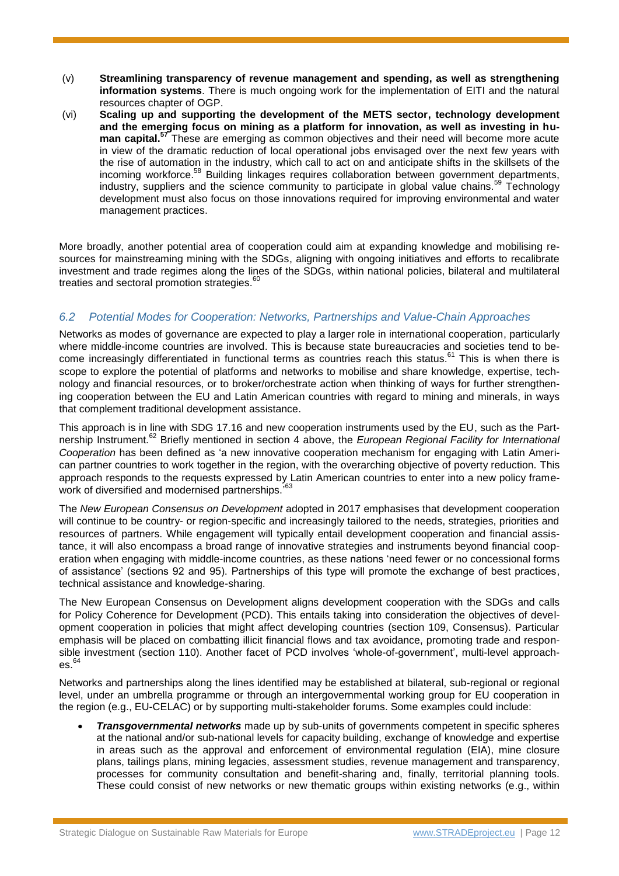- (v) **Streamlining transparency of revenue management and spending, as well as strengthening information systems**. There is much ongoing work for the implementation of EITI and the natural resources chapter of OGP.
- (vi) **Scaling up and supporting the development of the METS sector, technology development and the emerging focus on mining as a platform for innovation, as well as investing in human capital. <sup>57</sup>** These are emerging as common objectives and their need will become more acute in view of the dramatic reduction of local operational jobs envisaged over the next few years with the rise of automation in the industry, which call to act on and anticipate shifts in the skillsets of the incoming workforce.<sup>58</sup> Building linkages requires collaboration between government departments, industry, suppliers and the science community to participate in global value chains.<sup>59</sup> Technology development must also focus on those innovations required for improving environmental and water management practices.

More broadly, another potential area of cooperation could aim at expanding knowledge and mobilising resources for mainstreaming mining with the SDGs, aligning with ongoing initiatives and efforts to recalibrate investment and trade regimes along the lines of the SDGs, within national policies, bilateral and multilateral treaties and sectoral promotion strategies.<sup>60</sup>

# *6.2 Potential Modes for Cooperation: Networks, Partnerships and Value-Chain Approaches*

Networks as modes of governance are expected to play a larger role in international cooperation, particularly where middle-income countries are involved. This is because state bureaucracies and societies tend to become increasingly differentiated in functional terms as countries reach this status.<sup>61</sup> This is when there is scope to explore the potential of platforms and networks to mobilise and share knowledge, expertise, technology and financial resources, or to broker/orchestrate action when thinking of ways for further strengthening cooperation between the EU and Latin American countries with regard to mining and minerals, in ways that complement traditional development assistance.

This approach is in line with SDG 17.16 and new cooperation instruments used by the EU, such as the Partnership Instrument.<sup>62</sup> Briefly mentioned in section 4 above, the *European Regional Facility for International Cooperation* has been defined as 'a new innovative cooperation mechanism for engaging with Latin American partner countries to work together in the region, with the overarching objective of poverty reduction. This approach responds to the requests expressed by Latin American countries to enter into a new policy framework of diversified and modernised partnerships.' 63

The *New European Consensus on Development* adopted in 2017 emphasises that development cooperation will continue to be country- or region-specific and increasingly tailored to the needs, strategies, priorities and resources of partners. While engagement will typically entail development cooperation and financial assistance, it will also encompass a broad range of innovative strategies and instruments beyond financial cooperation when engaging with middle-income countries, as these nations 'need fewer or no concessional forms of assistance' (sections 92 and 95). Partnerships of this type will promote the exchange of best practices, technical assistance and knowledge-sharing.

The New European Consensus on Development aligns development cooperation with the SDGs and calls for Policy Coherence for Development (PCD). This entails taking into consideration the objectives of development cooperation in policies that might affect developing countries (section 109, Consensus). Particular emphasis will be placed on combatting illicit financial flows and tax avoidance, promoting trade and responsible investment (section 110). Another facet of PCD involves 'whole-of-government', multi-level approaches.<sup>64</sup>

Networks and partnerships along the lines identified may be established at bilateral, sub-regional or regional level, under an umbrella programme or through an intergovernmental working group for EU cooperation in the region (e.g., EU-CELAC) or by supporting multi-stakeholder forums. Some examples could include:

 *Transgovernmental networks* made up by sub-units of governments competent in specific spheres at the national and/or sub-national levels for capacity building, exchange of knowledge and expertise in areas such as the approval and enforcement of environmental regulation (EIA), mine closure plans, tailings plans, mining legacies, assessment studies, revenue management and transparency, processes for community consultation and benefit-sharing and, finally, territorial planning tools. These could consist of new networks or new thematic groups within existing networks (e.g., within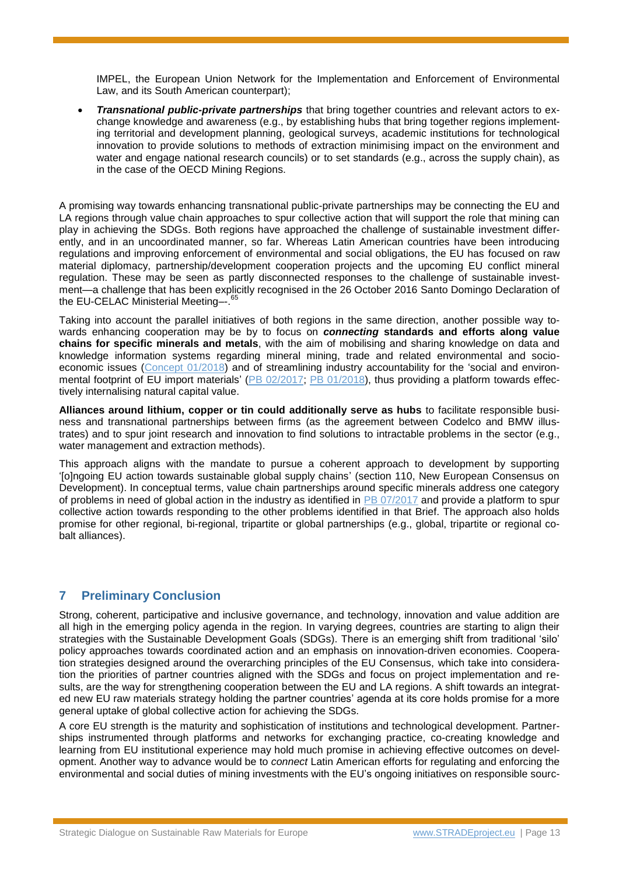IMPEL, the European Union Network for the Implementation and Enforcement of Environmental Law, and its South American counterpart);

 *Transnational public-private partnerships* that bring together countries and relevant actors to exchange knowledge and awareness (e.g., by establishing hubs that bring together regions implementing territorial and development planning, geological surveys, academic institutions for technological innovation to provide solutions to methods of extraction minimising impact on the environment and water and engage national research councils) or to set standards (e.g., across the supply chain), as in the case of the OECD Mining Regions.

A promising way towards enhancing transnational public-private partnerships may be connecting the EU and LA regions through value chain approaches to spur collective action that will support the role that mining can play in achieving the SDGs. Both regions have approached the challenge of sustainable investment differently, and in an uncoordinated manner, so far. Whereas Latin American countries have been introducing regulations and improving enforcement of environmental and social obligations, the EU has focused on raw material diplomacy, partnership/development cooperation projects and the upcoming EU conflict mineral regulation. These may be seen as partly disconnected responses to the challenge of sustainable investment—a challenge that has been explicitly recognised in the 26 October 2016 Santo Domingo Declaration of the EU-CELAC Ministerial Meeting–-. 65

Taking into account the parallel initiatives of both regions in the same direction, another possible way towards enhancing cooperation may be by to focus on *connecting* **standards and efforts along value chains for specific minerals and metals**, with the aim of mobilising and sharing knowledge on data and knowledge information systems regarding mineral mining, trade and related environmental and socioeconomic issues [\(Concept 01/2018\)](http://stradeproject.eu/fileadmin/user_upload/pdf/STRADE_Concept_for_mineral_knowledge_platform_v1.0_Jan2018.pdf) and of streamlining industry accountability for the 'social and environ-mental footprint of EU import materials' [\(PB 02/2017;](http://stradeproject.eu/fileadmin/user_upload/pdf/STRADEPolBrf_02-2017_RawMaterialFlows_Mar2017_FINAL.pdf) [PB 01/2018\)](http://stradeproject.eu/fileadmin/user_upload/pdf/STRADE_PB_01-2018_Holding_European_businesses_responsible.pdf), thus providing a platform towards effectively internalising natural capital value.

**Alliances around lithium, copper or tin could additionally serve as hubs** to facilitate responsible business and transnational partnerships between firms (as the agreement between Codelco and BMW illustrates) and to spur joint research and innovation to find solutions to intractable problems in the sector (e.g., water management and extraction methods).

This approach aligns with the mandate to pursue a coherent approach to development by supporting '[o]ngoing EU action towards sustainable global supply chains' (section 110, New European Consensus on Development). In conceptual terms, value chain partnerships around specific minerals address one category of problems in need of global action in the industry as identified in [PB 07/2017](http://stradeproject.eu/fileadmin/user_upload/pdf/STRADE_PB07_D4-21_IRGA_Jul2017_FINAL.pdf) and provide a platform to spur collective action towards responding to the other problems identified in that Brief. The approach also holds promise for other regional, bi-regional, tripartite or global partnerships (e.g., global, tripartite or regional cobalt alliances).

# **7 Preliminary Conclusion**

Strong, coherent, participative and inclusive governance, and technology, innovation and value addition are all high in the emerging policy agenda in the region. In varying degrees, countries are starting to align their strategies with the Sustainable Development Goals (SDGs). There is an emerging shift from traditional 'silo' policy approaches towards coordinated action and an emphasis on innovation-driven economies. Cooperation strategies designed around the overarching principles of the EU Consensus, which take into consideration the priorities of partner countries aligned with the SDGs and focus on project implementation and results, are the way for strengthening cooperation between the EU and LA regions. A shift towards an integrated new EU raw materials strategy holding the partner countries' agenda at its core holds promise for a more general uptake of global collective action for achieving the SDGs.

A core EU strength is the maturity and sophistication of institutions and technological development. Partnerships instrumented through platforms and networks for exchanging practice, co-creating knowledge and learning from EU institutional experience may hold much promise in achieving effective outcomes on development. Another way to advance would be to *connect* Latin American efforts for regulating and enforcing the environmental and social duties of mining investments with the EU's ongoing initiatives on responsible sourc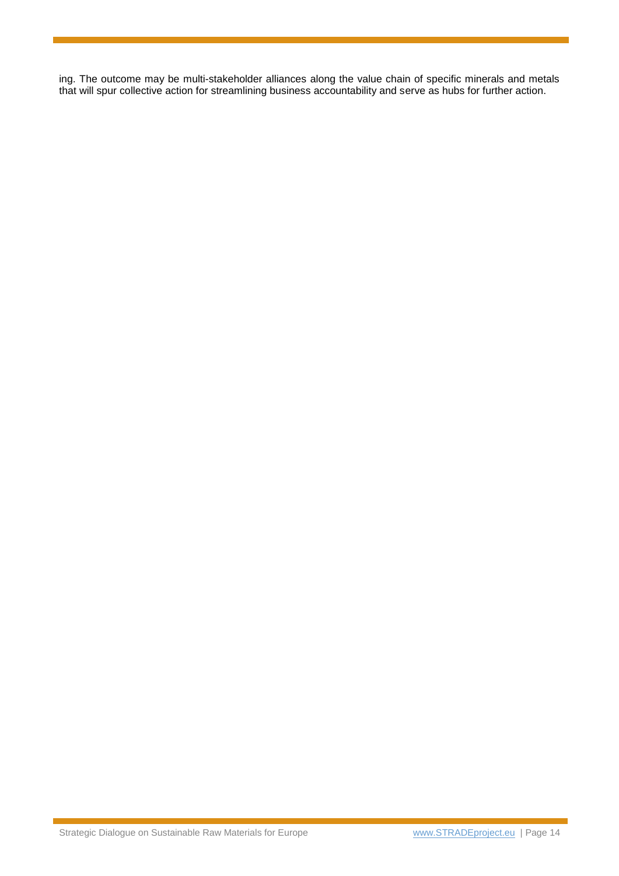ing. The outcome may be multi-stakeholder alliances along the value chain of specific minerals and metals that will spur collective action for streamlining business accountability and serve as hubs for further action.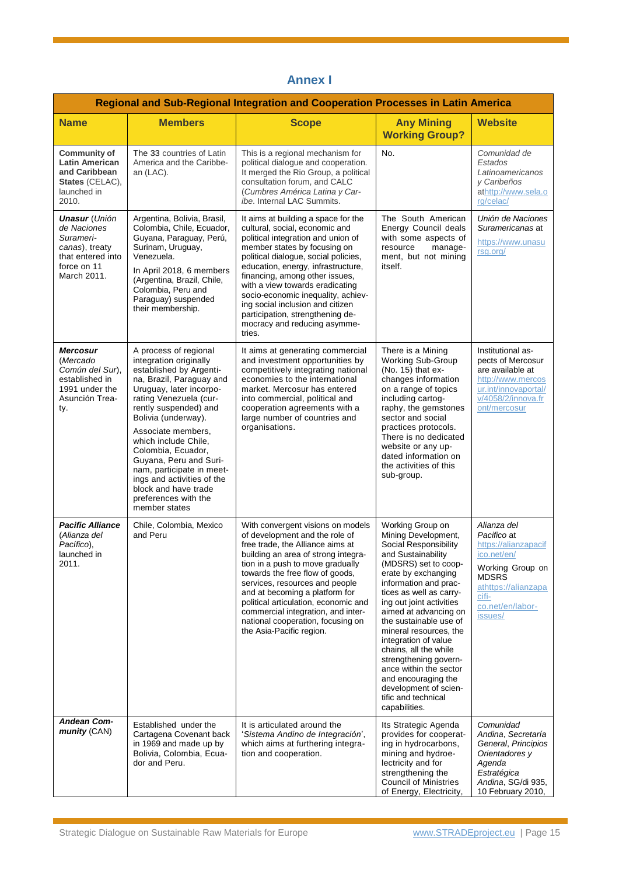| <b>Regional and Sub-Regional Integration and Cooperation Processes in Latin America</b>                               |                                                                                                                                                                                                                                                                                                                                                                                                                                       |                                                                                                                                                                                                                                                                                                                                                                                                                                                        |                                                                                                                                                                                                                                                                                                                                                                                                                                                                                                |                                                                                                                                                                      |  |  |
|-----------------------------------------------------------------------------------------------------------------------|---------------------------------------------------------------------------------------------------------------------------------------------------------------------------------------------------------------------------------------------------------------------------------------------------------------------------------------------------------------------------------------------------------------------------------------|--------------------------------------------------------------------------------------------------------------------------------------------------------------------------------------------------------------------------------------------------------------------------------------------------------------------------------------------------------------------------------------------------------------------------------------------------------|------------------------------------------------------------------------------------------------------------------------------------------------------------------------------------------------------------------------------------------------------------------------------------------------------------------------------------------------------------------------------------------------------------------------------------------------------------------------------------------------|----------------------------------------------------------------------------------------------------------------------------------------------------------------------|--|--|
| <b>Name</b>                                                                                                           | <b>Members</b>                                                                                                                                                                                                                                                                                                                                                                                                                        | <b>Scope</b>                                                                                                                                                                                                                                                                                                                                                                                                                                           | <b>Any Mining</b><br><b>Working Group?</b>                                                                                                                                                                                                                                                                                                                                                                                                                                                     | <b>Website</b>                                                                                                                                                       |  |  |
| <b>Community of</b><br><b>Latin American</b><br>and Caribbean<br>States (CELAC),<br>launched in<br>2010.              | The 33 countries of Latin<br>America and the Caribbe-<br>an (LAC).                                                                                                                                                                                                                                                                                                                                                                    | This is a regional mechanism for<br>political dialogue and cooperation.<br>It merged the Rio Group, a political<br>consultation forum, and CALC<br>(Cumbres América Latina y Car-<br>ibe. Internal LAC Summits.                                                                                                                                                                                                                                        | No.                                                                                                                                                                                                                                                                                                                                                                                                                                                                                            | Comunidad de<br>Estados<br>Latinoamericanos<br>v Caribeños<br>athttp://www.sela.o<br>rg/celac/                                                                       |  |  |
| <b>Unasur</b> (Unión<br>de Naciones<br>Surameri-<br>canas), treaty<br>that entered into<br>force on 11<br>March 2011. | Argentina, Bolivia, Brasil,<br>Colombia, Chile, Ecuador,<br>Guyana, Paraguay, Perú,<br>Surinam, Uruguay,<br>Venezuela.<br>In April 2018, 6 members<br>(Argentina, Brazil, Chile,<br>Colombia, Peru and<br>Paraguay) suspended<br>their membership.                                                                                                                                                                                    | It aims at building a space for the<br>cultural, social, economic and<br>political integration and union of<br>member states by focusing on<br>political dialogue, social policies,<br>education, energy, infrastructure,<br>financing, among other issues,<br>with a view towards eradicating<br>socio-economic inequality, achiev-<br>ing social inclusion and citizen<br>participation, strengthening de-<br>mocracy and reducing asymme-<br>tries. | The South American<br>Energy Council deals<br>with some aspects of<br>resource<br>manage-<br>ment, but not mining<br>itself.                                                                                                                                                                                                                                                                                                                                                                   | Unión de Naciones<br>Suramericanas at<br>https://www.unasu<br>rsg.org/                                                                                               |  |  |
| <b>Mercosur</b><br>(Mercado<br>Común del Sur),<br>established in<br>1991 under the<br>Asunción Trea-<br>ty.           | A process of regional<br>integration originally<br>established by Argenti-<br>na, Brazil, Paraguay and<br>Uruguay, later incorpo-<br>rating Venezuela (cur-<br>rently suspended) and<br>Bolivia (underway).<br>Associate members,<br>which include Chile,<br>Colombia, Ecuador,<br>Guyana, Peru and Suri-<br>nam, participate in meet-<br>ings and activities of the<br>block and have trade<br>preferences with the<br>member states | It aims at generating commercial<br>and investment opportunities by<br>competitively integrating national<br>economies to the international<br>market. Mercosur has entered<br>into commercial, political and<br>cooperation agreements with a<br>large number of countries and<br>organisations.                                                                                                                                                      | There is a Mining<br><b>Working Sub-Group</b><br>(No. 15) that ex-<br>changes information<br>on a range of topics<br>including cartog-<br>raphy, the gemstones<br>sector and social<br>practices protocols.<br>There is no dedicated<br>website or any up-<br>dated information on<br>the activities of this<br>sub-group.                                                                                                                                                                     | Institutional as-<br>pects of Mercosur<br>are available at<br>http://www.mercos<br>ur.int/innovaportal/<br>v/4058/2/innova.fr<br>ont/mercosur                        |  |  |
| <b>Pacific Alliance</b><br>(Alianza del<br>Pacífico),<br>launched in<br>2011.                                         | Chile, Colombia, Mexico<br>and Peru                                                                                                                                                                                                                                                                                                                                                                                                   | With convergent visions on models<br>of development and the role of<br>free trade, the Alliance aims at<br>building an area of strong integra-<br>tion in a push to move gradually<br>towards the free flow of goods,<br>services, resources and people<br>and at becoming a platform for<br>political articulation, economic and<br>commercial integration, and inter-<br>national cooperation, focusing on<br>the Asia-Pacific region.               | Working Group on<br>Mining Development,<br>Social Responsibility<br>and Sustainability<br>(MDSRS) set to coop-<br>erate by exchanging<br>information and prac-<br>tices as well as carry-<br>ing out joint activities<br>aimed at advancing on<br>the sustainable use of<br>mineral resources, the<br>integration of value<br>chains, all the while<br>strengthening govern-<br>ance within the sector<br>and encouraging the<br>development of scien-<br>tific and technical<br>capabilities. | Alianza del<br>Pacifico at<br>https://alianzapacif<br>ico.net/en/<br>Working Group on<br><b>MDSRS</b><br>athttps://alianzapa<br>cifi-<br>co.net/en/labor-<br>issues/ |  |  |
| <b>Andean Com-</b><br><i>munity</i> (CAN)                                                                             | Established under the<br>Cartagena Covenant back<br>in 1969 and made up by<br>Bolivia, Colombia, Ecua-<br>dor and Peru.                                                                                                                                                                                                                                                                                                               | It is articulated around the<br>'Sistema Andino de Integración',<br>which aims at furthering integra-<br>tion and cooperation.                                                                                                                                                                                                                                                                                                                         | Its Strategic Agenda<br>provides for cooperat-<br>ing in hydrocarbons,<br>mining and hydroe-<br>lectricity and for<br>strengthening the<br><b>Council of Ministries</b><br>of Energy, Electricity,                                                                                                                                                                                                                                                                                             | Comunidad<br>Andina, Secretaría<br>General, Principios<br>Orientadores y<br>Agenda<br>Estratégica<br>Andina, SG/di 935,<br>10 February 2010,                         |  |  |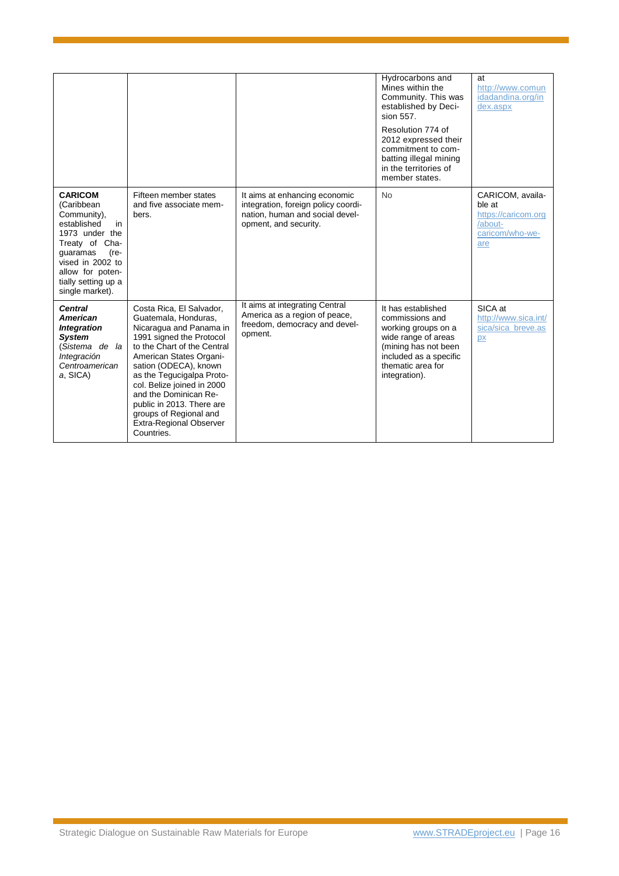|                                                                                                                                                                                                            |                                                                                                                                                                                                                                                                                                                                                                                       |                                                                                                                                  | Hydrocarbons and<br>Mines within the<br>Community. This was<br>established by Deci-<br>sion 557.<br>Resolution 774 of<br>2012 expressed their<br>commitment to com-<br>batting illegal mining<br>in the territories of<br>member states. | at<br>http://www.comun<br>idadandina.org/in<br>dex.aspx                                |
|------------------------------------------------------------------------------------------------------------------------------------------------------------------------------------------------------------|---------------------------------------------------------------------------------------------------------------------------------------------------------------------------------------------------------------------------------------------------------------------------------------------------------------------------------------------------------------------------------------|----------------------------------------------------------------------------------------------------------------------------------|------------------------------------------------------------------------------------------------------------------------------------------------------------------------------------------------------------------------------------------|----------------------------------------------------------------------------------------|
| <b>CARICOM</b><br>(Caribbean<br>Community),<br>established<br>in<br>1973 under the<br>Treaty of Cha-<br>(re-<br>quaramas<br>vised in 2002 to<br>allow for poten-<br>tially setting up a<br>single market). | Fifteen member states<br>and five associate mem-<br>bers.                                                                                                                                                                                                                                                                                                                             | It aims at enhancing economic<br>integration, foreign policy coordi-<br>nation, human and social devel-<br>opment, and security. | <b>No</b>                                                                                                                                                                                                                                | CARICOM, availa-<br>ble at<br>https://caricom.org<br>/about-<br>caricom/who-we-<br>are |
| <b>Central</b><br><b>American</b><br><b>Integration</b><br><b>System</b><br>(Sistema de la<br>Integración<br>Centroamerican<br>a, SICA)                                                                    | Costa Rica, El Salvador,<br>Guatemala, Honduras,<br>Nicaragua and Panama in<br>1991 signed the Protocol<br>to the Chart of the Central<br>American States Organi-<br>sation (ODECA), known<br>as the Tegucigalpa Proto-<br>col. Belize joined in 2000<br>and the Dominican Re-<br>public in 2013. There are<br>groups of Regional and<br><b>Extra-Regional Observer</b><br>Countries. | It aims at integrating Central<br>America as a region of peace,<br>freedom, democracy and devel-<br>opment.                      | It has established<br>commissions and<br>working groups on a<br>wide range of areas<br>(mining has not been<br>included as a specific<br>thematic area for<br>integration).                                                              | SICA at<br>http://www.sica.int/<br>sica/sica_breve.as<br>px                            |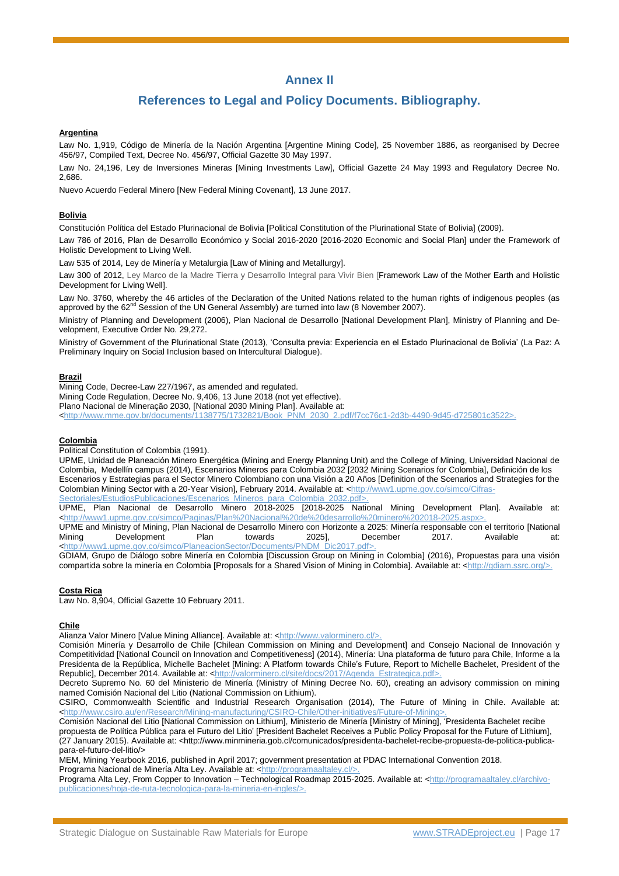# **Annex II**

# **References to Legal and Policy Documents. Bibliography.**

#### **Argentina**

Law No. 1,919, Código de Minería de la Nación Argentina [Argentine Mining Code], 25 November 1886, as reorganised by Decree 456/97, Compiled Text, Decree No. 456/97, Official Gazette 30 May 1997.

Law No. 24,196, Ley de Inversiones Mineras [Mining Investments Law], Official Gazette 24 May 1993 and Regulatory Decree No. 2,686.

Nuevo Acuerdo Federal Minero [New Federal Mining Covenant], 13 June 2017.

#### **Bolivia**

Constitución Política del Estado Plurinacional de Bolivia [Political Constitution of the Plurinational State of Bolivia] (2009).

Law 786 of 2016, Plan de Desarrollo Económico y Social 2016-2020 [2016-2020 Economic and Social Plan] under the Framework of Holistic Development to Living Well.

Law 535 of 2014, Ley de Minería y Metalurgia [Law of Mining and Metallurgy].

Law 300 of 2012, Ley Marco de la Madre Tierra y Desarrollo Integral para Vivir Bien [Framework Law of the Mother Earth and Holistic Development for Living Well].

Law No. 3760, whereby the 46 articles of the Declaration of the United Nations related to the human rights of indigenous peoples (as approved by the 62<sup>nd</sup> Session of the UN General Assembly) are turned into law (8 November 2007).

Ministry of Planning and Development (2006), Plan Nacional de Desarrollo [National Development Plan], Ministry of Planning and Development, Executive Order No. 29,272.

Ministry of Government of the Plurinational State (2013), 'Consulta previa: Experiencia en el Estado Plurinacional de Bolivia' (La Paz: A Preliminary Inquiry on Social Inclusion based on Intercultural Dialogue).

#### **Brazil**

Mining Code, Decree-Law 227/1967, as amended and regulated.

Mining Code Regulation, Decree No. 9,406, 13 June 2018 (not yet effective).

Plano Nacional de Mineração 2030, [National 2030 Mining Plan]. Available at:

[<http://www.mme.gov.br/documents/1138775/1732821/Book\\_PNM\\_2030\\_2.pdf/f7cc76c1-2d3b-4490-9d45-d725801c3522>](http://www.mme.gov.br/documents/1138775/1732821/Book_PNM_2030_2.pdf/f7cc76c1-2d3b-4490-9d45-d725801c3522).

#### **Colombia**

Political Constitution of Colombia (1991).

UPME, Unidad de Planeación Minero Energética (Mining and Energy Planning Unit) and the College of Mining, Universidad Nacional de Colombia, Medellín campus (2014), Escenarios Mineros para Colombia 2032 [2032 Mining Scenarios for Colombia], Definición de los Escenarios y Estrategias para el Sector Minero Colombiano con una Visión a 20 Años [Definition of the Scenarios and Strategies for the Colombian Mining Sector with a 20-Year Vision], February 2014. Available at: [<http://www1.upme.gov.co/simco/Cifras](http://www1.upme.gov.co/simco/Cifras-Sectoriales/EstudiosPublicaciones/Escenarios_Mineros_para_Colombia_2032.pdf)toriales/EstudiosPublicaciones/Escenarios\_Mineros\_para\_Colombia\_2032.pdf

UPME, Plan Nacional de Desarrollo Minero 2018-2025 [2018-2025 National Mining Development Plan]. Available at: [<http://www1.upme.gov.co/simco/Paginas/Plan%20Nacional%20de%20desarrollo%20minero%202018-2025.aspx>](http://www1.upme.gov.co/simco/Paginas/Plan%20Nacional%20de%20desarrollo%20minero%202018-2025.aspx).

UPME and Ministry of Mining, Plan Nacional de Desarrollo Minero con Horizonte a 2025: Minería responsable con el territorio [National Mining Development Plan towards 2025], December 2017. Available [<http://www1.upme.gov.co/simco/PlaneacionSector/Documents/PNDM\\_Dic2017.pdf>](http://www1.upme.gov.co/simco/PlaneacionSector/Documents/PNDM_Dic2017.pdf).

GDIAM, Grupo de Diálogo sobre Minería en Colombia [Discussion Group on Mining in Colombia] (2016), Propuestas para una visión compartida sobre la minería en Colombia [Proposals for a Shared Vision of Mining in Colombia]. Available at: [<http://gdiam.ssrc.org/>](http://gdiam.ssrc.org/).

#### **Costa Rica**

Law No. 8,904, Official Gazette 10 February 2011.

#### **Chile**

Alianza Valor Minero [Value Mining Alliance]. Available at: [<http://www.valorminero.cl/>](http://www.valorminero.cl/).

Comisión Minería y Desarrollo de Chile [Chilean Commission on Mining and Development] and Consejo Nacional de Innovación y Competitividad [National Council on Innovation and Competitiveness] (2014), Minería: Una plataforma de futuro para Chile, Informe a la Presidenta de la República, Michelle Bachelet [Mining: A Platform towards Chile's Future, Report to Michelle Bachelet, President of the Republic], December 2014. Available at: [<http://valorminero.cl/site/docs/2017/Agenda\\_Estrategica.pdf>](http://valorminero.cl/site/docs/2017/Agenda_Estrategica.pdf)

Decreto Supremo No. 60 del Ministerio de Minería (Ministry of Mining Decree No. 60), creating an advisory commission on mining named Comisión Nacional del Litio (National Commission on Lithium).

CSIRO, Commonwealth Scientific and Industrial Research Organisation (2014), The Future of Mining in Chile. Available at: [<http://www.csiro.au/en/Research/Mining-manufacturing/CSIRO-Chile/Other-initiatives/Future-of-Mining>](http://www.csiro.au/en/Research/Mining-manufacturing/CSIRO-Chile/Other-initiatives/Future-of-Mining).

Comisión Nacional del Litio [National Commission on Lithium], Ministerio de Minería [Ministry of Mining], 'Presidenta Bachelet recibe propuesta de Política Pública para el Futuro del Litio' [President Bachelet Receives a Public Policy Proposal for the Future of Lithium], (27 January 2015). Available at: <http://www.minmineria.gob.cl/comunicados/presidenta-bachelet-recibe-propuesta-de-politica-publicapara-el-futuro-del-litio/>

MEM, Mining Yearbook 2016, published in April 2017; government presentation at PDAC International Convention 2018. Programa Nacional de Minería Alta Ley. Available at: <http://programaaltale

Programa Alta Ley, From Copper to Innovation – Technological Roadmap 2015-2025. Available at: [<http://programaaltaley.cl/archivo](http://programaaltaley.cl/archivo-publicaciones/hoja-de-ruta-tecnologica-para-la-mineria-en-ingles/)[publicaciones/hoja-de-ruta-tecnologica-para-la-mineria-en-ingles/>](http://programaaltaley.cl/archivo-publicaciones/hoja-de-ruta-tecnologica-para-la-mineria-en-ingles/).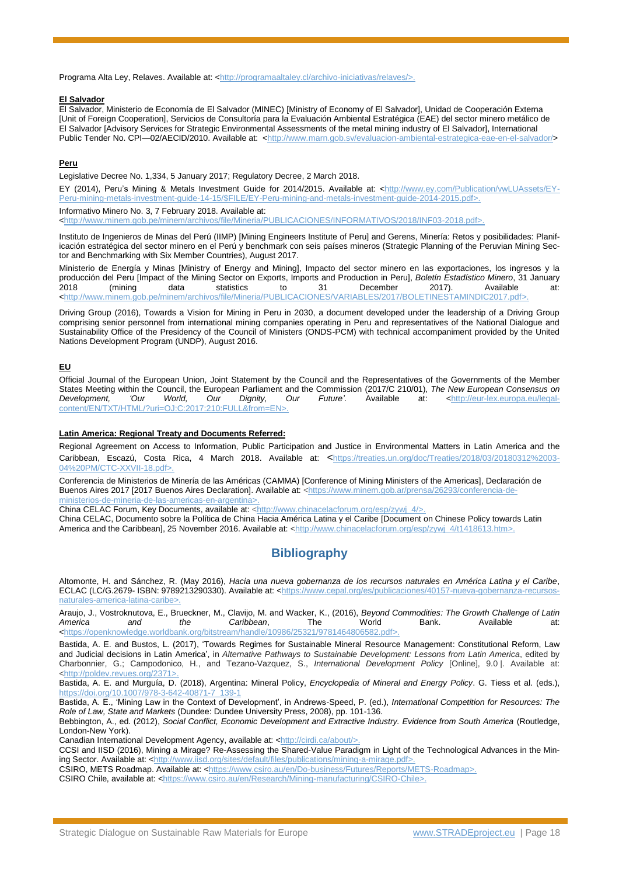Programa Alta Ley, Relaves. Available at: [<http://programaaltaley.cl/archivo-iniciativas/relaves/>](http://programaaltaley.cl/archivo-iniciativas/relaves/).

#### **El Salvador**

El Salvador, Ministerio de Economía de El Salvador (MINEC) [Ministry of Economy of El Salvador], Unidad de Cooperación Externa [Unit of Foreign Cooperation], Servicios de Consultoría para la Evaluación Ambiental Estratégica (EAE) del sector minero metálico de El Salvador [Advisory Services for Strategic Environmental Assessments of the metal mining industry of El Salvador], International Public Tender No. CPI—02/AECID/2010. Available at: [<http://www.marn.gob.sv/evaluacion-ambiental-estrategica-eae-en-el-salvador/>](http://www.marn.gob.sv/evaluacion-ambiental-estrategica-eae-en-el-salvador/)

#### **Peru**

Legislative Decree No. 1,334, 5 January 2017; Regulatory Decree, 2 March 2018.

EY (2014), Peru's Mining & Metals Investment Guide for 2014/2015. Available at: [<http://www.ey.com/Publication/vwLUAssets/EY-](http://www.ey.com/Publication/vwLUAssets/EY-Peru-mining-metals-investment-guide-14-15/$FILE/EY-Peru-mining-and-metals-investment-guide-2014-2015.pdf)[Peru-mining-metals-investment-guide-14-15/\\$FILE/EY-Peru-mining-and-metals-investment-guide-2014-2015.pdf>](http://www.ey.com/Publication/vwLUAssets/EY-Peru-mining-metals-investment-guide-14-15/$FILE/EY-Peru-mining-and-metals-investment-guide-2014-2015.pdf).

Informativo Minero No. 3, 7 February 2018. Available at: v.minem.gob.pe/minem/archivos/file/Mineria/PUBLICACIONES/INFORMATIVOS/2018/INF03-2018.pdf>.

Instituto de Ingenieros de Minas del Perú (IIMP) [Mining Engineers Institute of Peru] and Gerens, Minería: Retos y posibilidades: Planificación estratégica del sector minero en el Perú y benchmark con seis países mineros (Strategic Planning of the Peruvian Mining Sector and Benchmarking with Six Member Countries), August 2017.

Ministerio de Energía y Minas [Ministry of Energy and Mining], Impacto del sector minero en las exportaciones, los ingresos y la producción del Peru [Impact of the Mining Sector on Exports, Imports and Production in Peru], *Boletín Estadístico Minero*, 31 January 2018 (mining data statistics to 31 December 2017). Available at: [<http://www.minem.gob.pe/minem/archivos/file/Mineria/PUBLICACIONES/VARIABLES/2017/BOLETINESTAMINDIC2017.pdf>](http://www.minem.gob.pe/minem/archivos/file/Mineria/PUBLICACIONES/VARIABLES/2017/BOLETINESTAMINDIC2017.pdf).

Driving Group (2016), Towards a Vision for Mining in Peru in 2030, a document developed under the leadership of a Driving Group comprising senior personnel from international mining companies operating in Peru and representatives of the National Dialogue and Sustainability Office of the Presidency of the Council of Ministers (ONDS-PCM) with technical accompaniment provided by the United Nations Development Program (UNDP), August 2016.

#### **EU**

Official Journal of the European Union, Joint Statement by the Council and the Representatives of the Governments of the Member States Meeting within the Council, the European Parliament and the Commission (2017/C 210/01), *The New European Consensus on Development, 'Our World, Our Dignity, Our Future'*. Available at: [<http://eur-lex.europa.eu/legal](http://eur-lex.europa.eu/legal-content/EN/TXT/HTML/?uri=OJ:C:2017:210:FULL&from=EN)content/FN/TXT/HTML/?uri=OJ:C:2017:210:F

#### **Latin America: Regional Treaty and Documents Referred:**

Regional Agreement on Access to Information, Public Participation and Justice in Environmental Matters in Latin America and the Caribbean, Escazú, Costa Rica, 4 March 2018. Available at: <[https://treaties.un.org/doc/Treaties/2018/03/20180312%2003-](https://treaties.un.org/doc/Treaties/2018/03/20180312%2003-04%20PM/CTC-XXVII-18.pdf) [04%20PM/CTC-XXVII-18.pdf>](https://treaties.un.org/doc/Treaties/2018/03/20180312%2003-04%20PM/CTC-XXVII-18.pdf).

Conferencia de Ministerios de Minería de las Américas (CAMMA) [Conference of Mining Ministers of the Americas], Declaración de Buenos Aires 2017 [2017 Buenos Aires Declaration]. Available at: [<https://www.minem.gob.ar/prensa/26293/conferencia-de](https://www.minem.gob.ar/prensa/26293/conferencia-de-ministerios-de-mineria-de-las-americas-en-argentina)mineria-de-las-americas-en-argentina>

China CELAC Forum, Key Documents, available at: [<http://www.chinacelacforum.org/esp/zywj\\_4/>](http://www.chinacelacforum.org/esp/zywj_4/)

China CELAC, Documento sobre la Política de China Hacia América Latina y el Caribe [Document on Chinese Policy towards Latin America and the Caribbean], 25 November 2016. Available at: [<http://www.chinacelacforum.org/esp/zywj\\_4/t1418613.htm>](http://www.chinacelacforum.org/esp/zywj_4/t1418613.htm).

## **Bibliography**

Altomonte, H. and Sánchez, R. (May 2016), *Hacia una nueva gobernanza de los recursos naturales en América Latina y el Caribe*, ECLAC (LC/G.2679- ISBN: 9789213290330). Available at: [<https://www.cepal.org/es/publicaciones/40157-nueva-gobernanza-recursos](https://www.cepal.org/es/publicaciones/40157-nueva-gobernanza-recursos-naturales-america-latina-caribe)[naturales-america-latina-caribe>](https://www.cepal.org/es/publicaciones/40157-nueva-gobernanza-recursos-naturales-america-latina-caribe).

Araujo, J., Vostroknutova, E., Brueckner, M., Clavijo, M. and Wacker, K., (2016), *Beyond Commodities: The Growth Challenge of Latin America and the Caribbean*, The World Bank. Available at: [<https://openknowledge.worldbank.org/bitstream/handle/10986/25321/9781464806582.pdf>](https://openknowledge.worldbank.org/bitstream/handle/10986/25321/9781464806582.pdf).

Bastida, A. E. and Bustos, L. (2017), 'Towards Regimes for Sustainable Mineral Resource Management: Constitutional Reform, Law and Judicial decisions in Latin America', in *Alternative Pathways to Sustainable Development: Lessons from Latin America*, edited by Charbonnier, G.; Campodonico, H., and Tezano-Vazquez, S., *International Development Policy* [Online], 9.0 |. Available at: <http://poldev.revues.org/237

Bastida, A. E. and Murguía, D. (2018), Argentina: Mineral Policy, *Encyclopedia of Mineral and Energy Policy*. G. Tiess et al. (eds.), https://doi.org/10.1007/978-3-642

Bastida, A. E., 'Mining Law in the Context of Development', in Andrews-Speed, P. (ed.), *International Competition for Resources: The Role of Law, State and Markets* (Dundee: Dundee University Press, 2008), pp. 101-136.

Bebbington, A., ed. (2012), *Social Conflict, Economic Development and Extractive Industry. Evidence from South America* (Routledge, London-New York).

Canadian International Development Agency, available at: [<http://cirdi.ca/about/>](http://cirdi.ca/about/)

CCSI and IISD (2016), Mining a Mirage? Re-Assessing the Shared-Value Paradigm in Light of the Technological Advances in the Min-ing Sector. Available at: [<http://www.iisd.org/sites/default/files/publications/mining-a-mirage.pdf>](http://www.iisd.org/sites/default/files/publications/mining-a-mirage.pdf)

CSIRO, METS Roadmap. Available at: [<https://www.csiro.au/en/Do-business/Futures/Reports/METS-Roadmap>](https://www.csiro.au/en/Do-business/Futures/Reports/METS-Roadmap).

CSIRO Chile, available at: [<https://www.csiro.au/en/Research/Mining-manufacturing/CSIRO-Chile>](https://www.csiro.au/en/Research/Mining-manufacturing/CSIRO-Chile).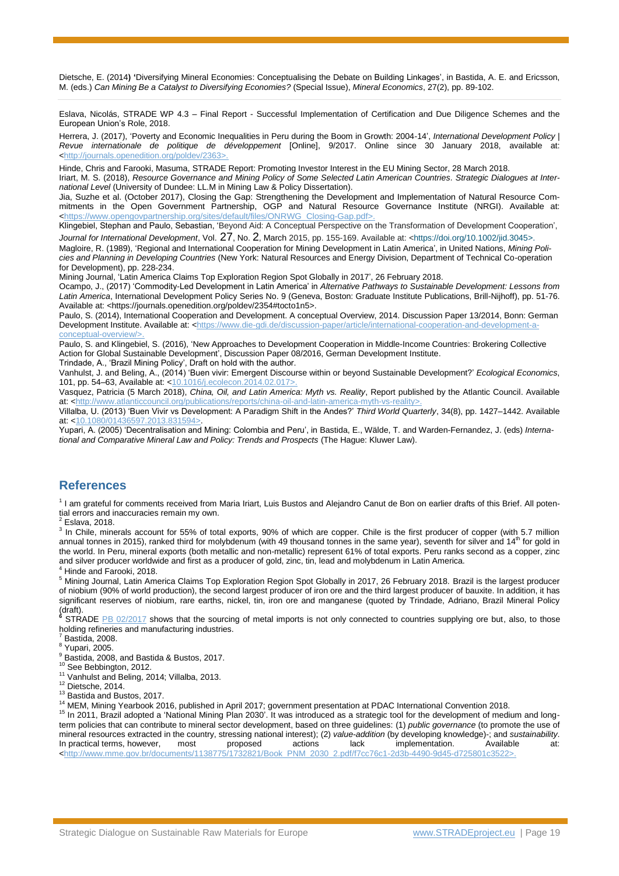Dietsche, E. (2014**) '**Diversifying Mineral Economies: Conceptualising the Debate on Building Linkages', in Bastida, A. E. and Ericsson, M. (eds.) *Can Mining Be a Catalyst to Diversifying Economies?* (Special Issue), *Mineral Economics*, 27(2), pp. 89-102.

Eslava, Nicolás, STRADE WP 4.3 – Final Report - Successful Implementation of Certification and Due Diligence Schemes and the European Union's Role, 2018.

Herrera, J. (2017), 'Poverty and Economic Inequalities in Peru during the Boom in Growth: 2004-14', *International Development Policy | Revue internationale de politique de développement* [Online], 9/2017. Online since 30 January 2018, available at: [<http://journals.openedition.org/poldev/2363>](http://journals.openedition.org/poldev/2363).

Hinde, Chris and Farooki, Masuma, STRADE Report: Promoting Investor Interest in the EU Mining Sector, 28 March 2018.

Iriart, M. S. (2018), *Resource Governance and Mining Policy of Some Selected Latin American Countries. Strategic Dialogues at International Level* (University of Dundee: LL.M in Mining Law & Policy Dissertation).

Jia, Suzhe et al. (October 2017), Closing the Gap: Strengthening the Development and Implementation of Natural Resource Commitments in the Open Government Partnership, OGP and Natural Resource Governance Institute (NRGI). Available at: [<https://www.opengovpartnership.org/sites/default/files/ONRWG\\_Closing-Gap.pdf>](https://www.opengovpartnership.org/sites/default/files/ONRWG_Closing-Gap.pdf).

Klingebiel, Stephan and Paulo, Sebastian, 'Beyond Aid: A Conceptual Perspective on the Transformation of Development Cooperation', *Journal for International Development*, Vol. 27, No. 2, March 2015, pp. 155-169. Available at: [<https://doi.org/10.1002/jid.3045>](https://doi.org/10.1002/jid.3045).

Magloire, R. (1989), 'Regional and International Cooperation for Mining Development in Latin America', in United Nations, *Mining Policies and Planning in Developing Countries* (New York: Natural Resources and Energy Division, Department of Technical Co-operation for Development), pp. 228-234.

Mining Journal, 'Latin America Claims Top Exploration Region Spot Globally in 2017', 26 February 2018.

Ocampo, J., (2017) 'Commodity-Led Development in Latin America' in *Alternative Pathways to Sustainable Development: Lessons from Latin America*, International Development Policy Series No. 9 (Geneva, Boston: Graduate Institute Publications, Brill-Nijhoff), pp. 51-76. Available at: [<https://journals.openedition.org/poldev/2354#tocto1n5>](https://journals.openedition.org/poldev/2354#tocto1n5).

Paulo, S. (2014), International Cooperation and Development. A conceptual Overview, 2014. Discussion Paper 13/2014, Bonn: German Development Institute. Available at: [<https://www.die-gdi.de/discussion-paper/article/international-cooperation-and-development-a](https://www.die-gdi.de/discussion-paper/article/international-cooperation-and-development-a-conceptual-overview/)conceptual-overview/

Paulo, S. and Klingebiel, S. (2016), 'New Approaches to Development Cooperation in Middle-Income Countries: Brokering Collective Action for Global Sustainable Development', Discussion Paper 08/2016, German Development Institute.

Trindade, A., 'Brazil Mining Policy', Draft on hold with the author. Vanhulst, J. and Beling, A., (2014) 'Buen vivir: Emergent Discourse within or beyond Sustainable Development?' *Ecological Economics*,

101, pp. 54–63, Available at: [<10.1016/j.ecolecon.2014.02.017>](http://dx.doi.org/10.1016/j.ecolecon.2014.02.017). Vasquez, Patricia (5 March 2018), *China, Oil, and Latin America: Myth vs. Reality*, Report published by the Atlantic Council. Available at: [<http://www.atlanticcouncil.org/publications/reports/china-oil-and-latin-america-myth-vs-reality>](http://www.atlanticcouncil.org/publications/reports/china-oil-and-latin-america-myth-vs-reality).

Villalba, U. (2013) 'Buen Vivir vs Development: A Paradigm Shift in the Andes?' *Third World Quarterly*, 34(8), pp. 1427–1442. Available at:  $<$ 10.108

Yupari, A. (2005) 'Decentralisation and Mining: Colombia and Peru', in Bastida, E., Wälde, T. and Warden-Fernandez, J. (eds) *International and Comparative Mineral Law and Policy: Trends and Prospects* (The Hague: Kluwer Law).

## **References**

<sup>1</sup> I am grateful for comments received from Maria Iriart, Luis Bustos and Alejandro Canut de Bon on earlier drafts of this Brief. All potential errors and inaccuracies remain my own.

 $<sup>2</sup>$  Eslava, 2018.</sup>

<sup>3</sup> In Chile, minerals account for 55% of total exports, 90% of which are copper. Chile is the first producer of copper (with 5.7 million annual tonnes in 2015), ranked third for molybdenum (with 49 thousand tonnes in the same year), seventh for silver and 14<sup>th</sup> for gold in the world. In Peru, mineral exports (both metallic and non-metallic) represent 61% of total exports. Peru ranks second as a copper, zinc and silver producer worldwide and first as a producer of gold, zinc, tin, lead and molybdenum in Latin America.

<sup>4</sup> Hinde and Farooki, 2018.

<sup>5</sup> Mining Journal, Latin America Claims Top Exploration Region Spot Globally in 2017, 26 February 2018. Brazil is the largest producer of niobium (90% of world production), the second largest producer of iron ore and the third largest producer of bauxite. In addition, it has significant reserves of niobium, rare earths, nickel, tin, iron ore and manganese (quoted by Trindade, Adriano, Brazil Mineral Policy (draft).

**STRADE [PB 02/2017](http://stradeproject.eu/fileadmin/user_upload/pdf/STRADEPolBrf_02-2017_RawMaterialFlows_Mar2017_FINAL.pdf)** shows that the sourcing of metal imports is not only connected to countries supplying ore but, also, to those holding refineries and manufacturing industries.

Bastida, 2008.

<sup>8</sup> Yupari, 2005.

<sup>9</sup> Bastida, 2008, and Bastida & Bustos, 2017.

<sup>10</sup> See Bebbington, 2012.

<sup>11</sup> Vanhulst and Beling, 2014; Villalba, 2013.

 $12$  Dietsche, 2014.

<sup>13</sup> Bastida and Bustos, 2017.

<sup>14</sup> MEM, Mining Yearbook 2016, published in April 2017; government presentation at PDAC International Convention 2018.

<sup>15</sup> In 2011, Brazil adopted a 'National Mining Plan 2030'. It was introduced as a strategic tool for the development of medium and longterm policies that can contribute to mineral sector development, based on three guidelines: (1) *public governance* (to promote the use of mineral resources extracted in the country, stressing national interest); (2) *value-addition* (by developing knowledge)-; and *sustainability*.<br>
In practical terms, however, most proposed actions lack implementation. Avai In practical terms, however, most proposed actions lack implementation. Available at: [<http://www.mme.gov.br/documents/1138775/1732821/Book\\_PNM\\_2030\\_2.pdf/f7cc76c1-2d3b-4490-9d45-d725801c3522>](http://www.mme.gov.br/documents/1138775/1732821/Book_PNM_2030_2.pdf/f7cc76c1-2d3b-4490-9d45-d725801c3522).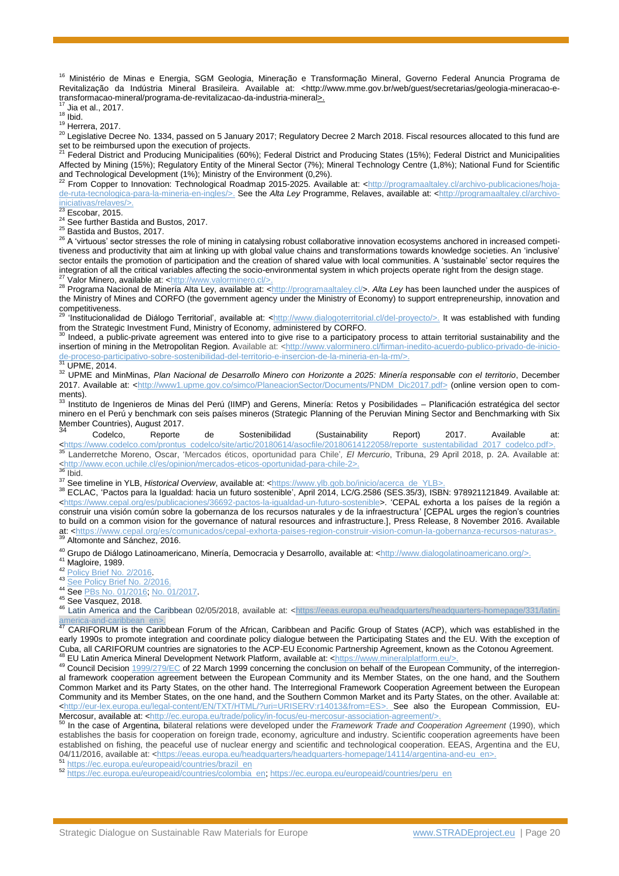<sup>16</sup> Ministério de Minas e Energia, [SGM Geologia, Mineração e Transformação Mineral,](http://www.mme.gov.br/web/guest/secretarias/geologia-mineracao-e-transformacao-mineral/programa-de-revitalizacao-da-industria-mineral;jsessionid=2AA4EAE9CDC3CB1FDFE37C8FD518886B.srv155?p_auth=At7Omfwz&p_p_id=49&p_p_lifecycle=1&p_p_state=normal&p_p_mode=view&_49_struts_action=%2Fmy_sites%2Fview&_49_groupId=10584&_49_privateLayout=false) Governo Federal Anuncia Programa de Revitalização da Indústria Mineral Brasileira. Available at: [<http://www.mme.gov.br/web/guest/secretarias/geologia-mineracao-e](http://www.mme.gov.br/web/guest/secretarias/geologia-mineracao-e-transformacao-mineral/programa-de-revitalizacao-da-industria-mineral)[transformacao-mineral/programa-de-revitalizacao-da-industria-mineral>](http://www.mme.gov.br/web/guest/secretarias/geologia-mineracao-e-transformacao-mineral/programa-de-revitalizacao-da-industria-mineral).

Jia et al., 2017.  $18$  Ibid.

<sup>19</sup> Herrera, 2017.

<sup>20</sup> Legislative Decree No. 1334, passed on 5 January 2017; Regulatory Decree 2 March 2018. Fiscal resources allocated to this fund are

set to be reimbursed upon the execution of projects.<br><sup>21</sup> Federal District and Producing Municipalities (60%); Federal District and Producing States (15%); Federal District and Municipalities Affected by Mining (15%); Regulatory Entity of the Mineral Sector (7%); Mineral Technology Centre (1,8%); National Fund for Scientific and Technological Development (1%); Ministry of the Environment (0,2%).<br><sup>22</sup> From Copper to Innovation: Technological Roadmap 2015-2025. Available at: [<http://programaaltaley.cl/archivo-publicaciones/hoja-](http://programaaltaley.cl/archivo-publicaciones/hoja-de-ruta-tecnologica-para-la-mineria-en-ingles/)

[de-ruta-tecnologica-para-la-mineria-en-ingles/>](http://programaaltaley.cl/archivo-publicaciones/hoja-de-ruta-tecnologica-para-la-mineria-en-ingles/). See the *Alta Ley* Programme, Relaves, available at: [<http://programaaltaley.cl/archivo](http://programaaltaley.cl/archivo-iniciativas/relaves/)[iniciativas/relaves/>](http://programaaltaley.cl/archivo-iniciativas/relaves/).

 $23$  Escobar, 2015.

24 See further Bastida and Bustos, 2017.

<sup>25</sup> Bastida and Bustos, 2017.

 $26$  A 'virtuous' sector stresses the role of mining in catalysing robust collaborative innovation ecosystems anchored in increased competitiveness and productivity that aim at linking up with global value chains and transformations towards knowledge societies. An 'inclusive' sector entails the promotion of participation and the creation of shared value with local communities. A 'sustainable' sector requires the integration of all the critical variables affecting the socio-environmental system in which projects operate right from the design stage. 27 Valor Minero, available at: [<http://www.valorminero.cl/>](http://www.valorminero.cl/)

<sup>28</sup> Programa Nacional de Minería Alta Ley, available at: [<http://programaaltaley.cl/>](http://programaaltaley.cl/). *Alta Ley* has been launched under the auspices of the Ministry of Mines and CORFO (the government agency under the Ministry of Economy) to support entrepreneurship, innovation and  $\text{competitiveness}$ .

'Institucionalidad de Diálogo Territorial', available at: [<http://www.dialogoterritorial.cl/del-proyecto/>](http://www.dialogoterritorial.cl/del-proyecto/). It was established with funding from the Strategic Investment Fund, Ministry of Economy, administered by CORFO.

30 Indeed, a public-private agreement was entered into to give rise to a participatory process to attain territorial sustainability and the insertion of mining in the Metropolitan Region. Available at: [<http://www.valorminero.cl/firman-inedito-acuerdo-publico-privado-de-inicio](http://www.valorminero.cl/firman-inedito-acuerdo-publico-privado-de-inicio-de-proceso-participativo-sobre-sostenibilidad-del-territorio-e-insercion-de-la-mineria-en-la-rm/)[de-proceso-participativo-sobre-sostenibilidad-del-territorio-e-insercion-de-la-mineria-en-la-rm/>](http://www.valorminero.cl/firman-inedito-acuerdo-publico-privado-de-inicio-de-proceso-participativo-sobre-sostenibilidad-del-territorio-e-insercion-de-la-mineria-en-la-rm/). <sup>31</sup> UPME, 2014.

<sup>32</sup> UPME and MinMinas, *Plan Nacional de Desarrollo Minero con Horizonte a 2025: Minería responsable con el territorio*, December 2017. Available at: [<http://www1.upme.gov.co/simco/PlaneacionSector/Documents/PNDM\\_Dic2017.pdf>](http://www1.upme.gov.co/simco/PlaneacionSector/Documents/PNDM_Dic2017.pdf) (online version open to comments).

<sup>33</sup> Instituto de Ingenieros de Minas del Perú (IIMP) and Gerens, Minería: Retos y Posibilidades – Planificación estratégica del sector minero en el Perú y benchmark con seis países mineros (Strategic Planning of the Peruvian Mining Sector and Benchmarking with Six Member Countries), August 2017.

34 Codelco, Reporte de Sostenibilidad (Sustainability Report) 2017. Available at:

[<https://www.codelco.com/prontus\\_codelco/site/artic/20180614/asocfile/20180614122058/reporte\\_sustentabilidad\\_2017\\_codelco.pdf>](https://www.codelco.com/prontus_codelco/site/artic/20180614/asocfile/20180614122058/reporte_sustentabilidad_2017_codelco.pdf).<br><sup>35</sup> Landerretche Moreno, Oscar, 'Mercados éticos, oportunidad para Chile', *El Mercurio*, Tri [<http://www.econ.uchile.cl/es/opinion/mercados-eticos-oportunidad-para-chile-2>](http://www.econ.uchile.cl/es/opinion/mercados-eticos-oportunidad-para-chile-2). <sup>36</sup> Ibid.

<sup>37</sup> See timeline in YLB, *Historical Overview*, available at: [<https://www.ylb.gob.bo/inicio/acerca\\_de\\_YLB>](https://www.ylb.gob.bo/inicio/acerca_de_YLB).

38 ECLAC, 'Pactos para la Igualdad: hacia un futuro sostenible', April 2014, LC/G.2586 (SES.35/3), ISBN: 978921121849. Available at: [<https://www.cepal.org/es/publicaciones/36692-pactos-la-igualdad-un-futuro-sostenible>](https://www.cepal.org/es/publicaciones/36692-pactos-la-igualdad-un-futuro-sostenible). 'CEPAL exhorta a los países de la región a construir una visión común sobre la gobernanza de los recursos naturales y de la infraestructura' [CEPAL urges the region's countries to build on a common vision for the governance of natural resources and infrastructure.], Press Release, 8 November 2016. Available at: [<https://www.cepal.org/es/comunicados/cepal-exhorta-paises-region-construir-vision-comun-la-gobernanza-recursos-naturas>](https://www.cepal.org/es/comunicados/cepal-exhorta-paises-region-construir-vision-comun-la-gobernanza-recursos-naturas). <sup>39</sup> Altomonte and Sánchez, 2016.

40 Grupo de Diálogo Latinoamericano, Minería, Democracia y Desarrollo, available at: [<http://www.dialogolatinoamericano.org/>](http://www.dialogolatinoamericano.org/).  $41$  Magloire, 1989.

42 <u>Policy Brief No. 2/2016</u>

<sup>43</sup> [See Policy Brief No. 2/2016.](stradeproject.eu/fileadmin/user_upload/pdf/PolicyBrief_02-2016_Aug2016_FINAL.pdf)

<sup>44</sup> Se[e PBs No. 01/2016;](http://stradeproject.eu/fileadmin/user_upload/pdf/PolicyBrief_01-2016_May2016_FINAL.pdf) [No. 01/2017.](http://stradeproject.eu/fileadmin/user_upload/pdf/PolicyBrief_01-2017_Feb2017_FINAL.pdf)

<sup>45</sup> See Vasquez, 2018.

46 Latin America and the Caribbean 02/05/2018, available at: [<https://eeas.europa.eu/headquarters/headquarters-homepage/331/latin](https://eeas.europa.eu/headquarters/headquarters-homepage/331/latin-america-and-caribbean_en)[america-and-caribbean\\_en>](https://eeas.europa.eu/headquarters/headquarters-homepage/331/latin-america-and-caribbean_en)

<sup>47</sup> CARIFORUM is the Caribbean Forum of the African, Caribbean and Pacific Group of States (ACP), which was established in the early 1990s to promote integration and coordinate policy dialogue between the Participating States and the EU. With the exception of Cuba, all CARIFORUM countries are signatories to the ACP-EU Economic Partnership Agreement, known as the Cotonou Agreement. EU Latin America Mineral Development Network Platform, available at: <https://www.mineralplatform.eu

49 Council Decision [1999/279/EC](http://eur-lex.europa.eu/legal-content/EN/AUTO/?uri=celex:31999D0279) of 22 March 1999 concerning the conclusion on behalf of the European Community, of the interregional framework cooperation agreement between the European Community and its Member States, on the one hand, and the Southern Common Market and its Party States, on the other hand. The Interregional Framework Cooperation Agreement between the European Community and its Member States, on the one hand, and the Southern Common Market and its Party States, on the other. Available at: [<http://eur-lex.europa.eu/legal-content/EN/TXT/HTML/?uri=URISERV:r14013&from=ES>](http://eur-lex.europa.eu/legal-content/EN/TXT/HTML/?uri=URISERV:r14013&from=ES). See also the European Commission, EU-Mercosur, available at: [<http://ec.europa.eu/trade/policy/in-focus/eu-mercosur-association-agreement/>](http://ec.europa.eu/trade/policy/in-focus/eu-mercosur-association-agreement/).

<sup>50</sup> In the case of Argentina, bilateral relations were developed under the *Framework Trade and Cooperation Agreement* (1990), which establishes the basis for cooperation on foreign trade, economy, agriculture and industry. Scientific cooperation agreements have been established on fishing, the peaceful use of nuclear energy and scientific and technological cooperation. EEAS, Argentina and the EU, 04/11/2016, available at: <<u>https://eeas.europa.eu/headquarters/headquarters-homepage/14114/argentina-and-eu\_en>.</u><br><sup>51</sup> <u>[https://ec.europa.eu/europeaid/countries/brazil\\_en](https://ec.europa.eu/europeaid/countries/brazil_en)</u>

52 [https://ec.europa.eu/europeaid/countries/colombia\\_en;](https://ec.europa.eu/europeaid/countries/colombia_en) https://ec.europa.eu/europeaid/countries/peru\_en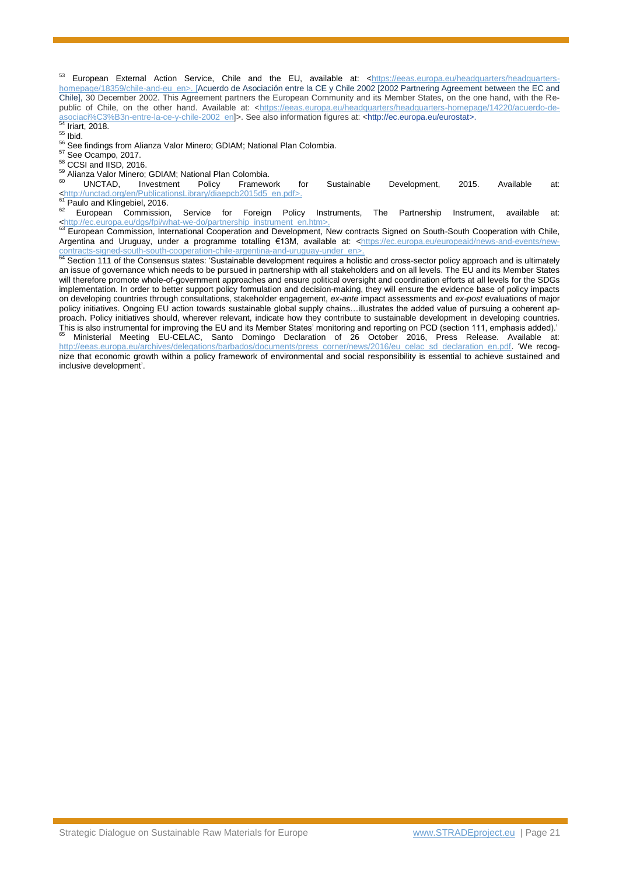European External Action Service, Chile and the EU, available at: [<https://eeas.europa.eu/headquarters/headquarters](https://eeas.europa.eu/headquarters/headquarters-homepage/18359/chile-and-eu_en)[homepage/18359/chile-and-eu\\_en>](https://eeas.europa.eu/headquarters/headquarters-homepage/18359/chile-and-eu_en). [Acuerdo de Asociación entre la CE y Chile 2002 [2002 Partnering Agreement between the EC and Chile], 30 December 2002. This Agreement partners the European Community and its Member States, on the one hand, with the Re-public of Chile, on the other hand. Available at: [<https://eeas.europa.eu/headquarters/headquarters-homepage/14220/acuerdo-de](https://eeas.europa.eu/headquarters/headquarters-homepage/14220/acuerdo-de-asociaci%C3%B3n-entre-la-ce-y-chile-2002_en)[asociaci%C3%B3n-entre-la-ce-y-chile-2002\\_en\]](https://eeas.europa.eu/headquarters/headquarters-homepage/14220/acuerdo-de-asociaci%C3%B3n-entre-la-ce-y-chile-2002_en)>. See also information figures at: [<http://ec.europa.eu/eurostat>](http://ec.europa.eu/eurostat).<br><sup>54</sup> Iriart, 2018.

 $55$  Ibid.

<sup>56</sup> See findings from Alianza Valor Minero; GDIAM; National Plan Colombia.

<sup>57</sup> See Ocampo, 2017.

<sup>58</sup> CCSI and IISD, 2016.

<sup>59</sup> Alianza Valor Minero; GDIAM; National Plan Colombia.

 $60$  UNCTAD, Investment Policy Framework for Sustainable Development, 2015. Available at: [<http://unctad.org/en/PublicationsLibrary/diaepcb2015d5\\_en.pdf>](http://unctad.org/en/PublicationsLibrary/diaepcb2015d5_en.pdf).

 $61$  Paulo and Klingebiel, 2016.<br> $62$  European Commission. Service for Foreign Policy Instruments, The Partnership Instrument, available at:

[<http://ec.europa.eu/dgs/fpi/what-we-do/partnership\\_instrument\\_en.htm>](http://ec.europa.eu/dgs/fpi/what-we-do/partnership_instrument_en.htm).<br><sup>63</sup> European Commission, International Cooperation and Development, New contracts Signed on South-South Cooperation with Chile, Argentina and Uruguay, under a programme totalling €13M, available at: [<https://ec.europa.eu/europeaid/news-and-events/new-](https://ec.europa.eu/europeaid/news-and-events/new-contracts-signed-south-south-cooperation-chile-argentina-and-uruguay-under_en)

[contracts-signed-south-south-cooperation-chile-argentina-and-uruguay-under\\_en>](https://ec.europa.eu/europeaid/news-and-events/new-contracts-signed-south-south-cooperation-chile-argentina-and-uruguay-under_en).<br><sup>64</sup> Section 111 of the Consensus states: 'Sustainable development requires a holistic and cross-sector policy approach and is ultimately an issue of governance which needs to be pursued in partnership with all stakeholders and on all levels. The EU and its Member States will therefore promote whole-of-government approaches and ensure political oversight and coordination efforts at all levels for the SDGs implementation. In order to better support policy formulation and decision-making, they will ensure the evidence base of policy impacts on developing countries through consultations, stakeholder engagement, *ex-ante* impact assessments and *ex-post* evaluations of major policy initiatives. Ongoing EU action towards sustainable global supply chains…illustrates the added value of pursuing a coherent approach. Policy initiatives should, wherever relevant, indicate how they contribute to sustainable development in developing countries. This is also instrumental for improving the EU and its Member States' monitoring and reporting on PCD (section 111, emphasis added).'<br><sup>65</sup> Ministerial Macting on PCD (section 111, emphasis added).' Ministerial Meeting EU-CELAC, Santo Domingo Declaration of 26 October 2016, Press Release. Available at: [http://eeas.europa.eu/archives/delegations/barbados/documents/press\\_corner/news/2016/eu\\_celac\\_sd\\_declaration\\_en.pdf.](http://eeas.europa.eu/archives/delegations/barbados/documents/press_corner/news/2016/eu_celac_sd_declaration_en.pdf) 'We recog-

nize that economic growth within a policy framework of environmental and social responsibility is essential to achieve sustained and inclusive development'.